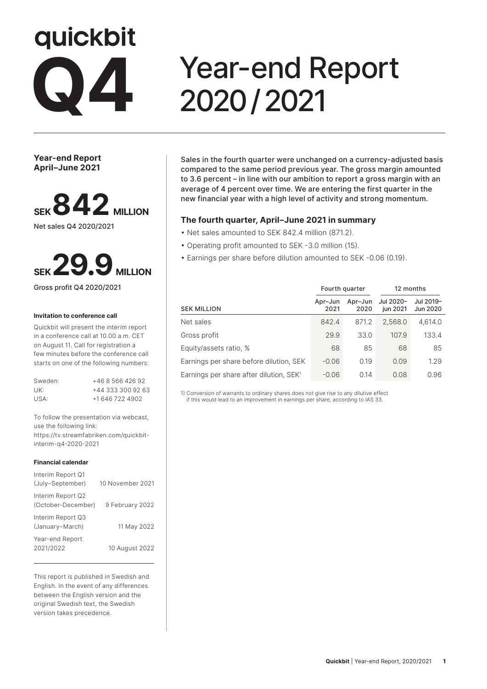# quickbit

## Year-end Report 2020 / 2021

**Year-end Report April–June 2021**





Gross profit Q4 2020/2021

#### **Invitation to conference call**

Quickbit will present the interim report in a conference call at 10.00 a.m. CET on August 11. Call for registration a few minutes before the conference call starts on one of the following numbers:

| Sweden: | +46 8 566 426 92  |
|---------|-------------------|
| l JK:   | +44 333 300 92 63 |
| USA:    | +1 646 722 4902   |

To follow the presentation via webcast, use the following link: https://tv.streamfabriken.com/quickbitinterim-q4-2020-2021

#### **Financial calendar**

| Interim Report Q1<br>(July-September)   | 10 November 2021 |
|-----------------------------------------|------------------|
| Interim Report Q2<br>(October-December) | 9 February 2022  |
| Interim Report Q3<br>(January-March)    | 11 May 2022      |
| Year-end Report<br>2021/2022            | 10 August 2022   |

This report is published in Swedish and English. In the event of any differences between the English version and the original Swedish text, the Swedish version takes precedence.

Sales in the fourth quarter were unchanged on a currency-adjusted basis compared to the same period previous year. The gross margin amounted to 3.6 percent – in line with our ambition to report a gross margin with an average of 4 percent over time. We are entering the first quarter in the new financial year with a high level of activity and strong momentum.

#### **The fourth quarter, April–June 2021 in summary**

- Net sales amounted to SEK 842.4 million (871.2).
- Operating profit amounted to SEK -3.0 million (15).
- Earnings per share before dilution amounted to SEK -0.06 (0.19).

|                                                     |                 | Fourth quarter  | 12 months             |                       |
|-----------------------------------------------------|-----------------|-----------------|-----------------------|-----------------------|
| <b>SEK MILLION</b>                                  | Apr-Jun<br>2021 | Apr-Jun<br>2020 | Jul 2020-<br>jun 2021 | Jul 2019-<br>Jun 2020 |
| Net sales                                           | 842.4           | 871.2           | 2,568.0               | 4,614.0               |
| Gross profit                                        | 29.9            | 33.0            | 107.9                 | 133.4                 |
| Equity/assets ratio, %                              | 68              | 85              | 68                    | 85                    |
| Earnings per share before dilution, SEK             | $-0.06$         | 0.19            | 0.09                  | 1.29                  |
| Earnings per share after dilution, SEK <sup>1</sup> | $-0.06$         | 0.14            | 0.08                  | 0.96                  |

1) Conversion of warrants to ordinary shares does not give rise to any dilutive effect if this would lead to an improvement in earnings per share, according to IAS 33.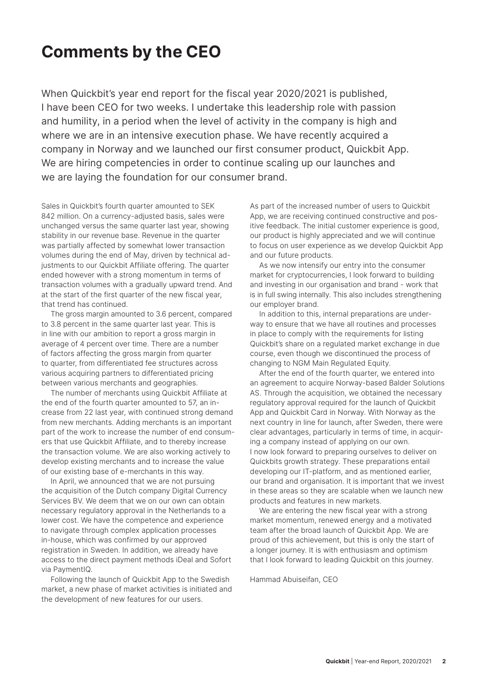## **Comments by the CEO**

When Quickbit's year end report for the fiscal year 2020/2021 is published, I have been CEO for two weeks. I undertake this leadership role with passion and humility, in a period when the level of activity in the company is high and where we are in an intensive execution phase. We have recently acquired a company in Norway and we launched our first consumer product, Quickbit App. We are hiring competencies in order to continue scaling up our launches and we are laying the foundation for our consumer brand.

Sales in Quickbit's fourth quarter amounted to SEK 842 million. On a currency-adjusted basis, sales were unchanged versus the same quarter last year, showing stability in our revenue base. Revenue in the quarter was partially affected by somewhat lower transaction volumes during the end of May, driven by technical adjustments to our Quickbit Affiliate offering. The quarter ended however with a strong momentum in terms of transaction volumes with a gradually upward trend. And at the start of the first quarter of the new fiscal year, that trend has continued.

The gross margin amounted to 3.6 percent, compared to 3.8 percent in the same quarter last year. This is in line with our ambition to report a gross margin in average of 4 percent over time. There are a number of factors affecting the gross margin from quarter to quarter, from differentiated fee structures across various acquiring partners to differentiated pricing between various merchants and geographies.

The number of merchants using Quickbit Affiliate at the end of the fourth quarter amounted to 57, an increase from 22 last year, with continued strong demand from new merchants. Adding merchants is an important part of the work to increase the number of end consumers that use Quickbit Affiliate, and to thereby increase the transaction volume. We are also working actively to develop existing merchants and to increase the value of our existing base of e-merchants in this way.

In April, we announced that we are not pursuing the acquisition of the Dutch company Digital Currency Services BV. We deem that we on our own can obtain necessary regulatory approval in the Netherlands to a lower cost. We have the competence and experience to navigate through complex application processes in-house, which was confirmed by our approved registration in Sweden. In addition, we already have access to the direct payment methods iDeal and Sofort via PaymentIQ.

Following the launch of Quickbit App to the Swedish market, a new phase of market activities is initiated and the development of new features for our users.

As part of the increased number of users to Quickbit App, we are receiving continued constructive and positive feedback. The initial customer experience is good, our product is highly appreciated and we will continue to focus on user experience as we develop Quickbit App and our future products.

As we now intensify our entry into the consumer market for cryptocurrencies, I look forward to building and investing in our organisation and brand - work that is in full swing internally. This also includes strengthening our employer brand.

In addition to this, internal preparations are underway to ensure that we have all routines and processes in place to comply with the requirements for listing Quickbit's share on a regulated market exchange in due course, even though we discontinued the process of changing to NGM Main Regulated Equity.

After the end of the fourth quarter, we entered into an agreement to acquire Norway-based Balder Solutions AS. Through the acquisition, we obtained the necessary regulatory approval required for the launch of Quickbit App and Quickbit Card in Norway. With Norway as the next country in line for launch, after Sweden, there were clear advantages, particularly in terms of time, in acquiring a company instead of applying on our own. I now look forward to preparing ourselves to deliver on Quickbits growth strategy. These preparations entail developing our IT-platform, and as mentioned earlier, our brand and organisation. It is important that we invest in these areas so they are scalable when we launch new products and features in new markets.

We are entering the new fiscal year with a strong market momentum, renewed energy and a motivated team after the broad launch of Quickbit App. We are proud of this achievement, but this is only the start of a longer journey. It is with enthusiasm and optimism that I look forward to leading Quickbit on this journey.

Hammad Abuiseifan, CEO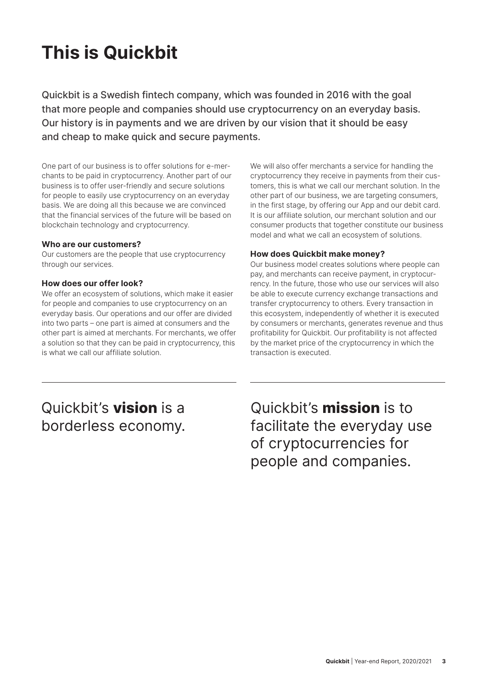## **This is Quickbit**

Quickbit is a Swedish fintech company, which was founded in 2016 with the goal that more people and companies should use cryptocurrency on an everyday basis. Our history is in payments and we are driven by our vision that it should be easy and cheap to make quick and secure payments.

One part of our business is to offer solutions for e-merchants to be paid in cryptocurrency. Another part of our business is to offer user-friendly and secure solutions for people to easily use cryptocurrency on an everyday basis. We are doing all this because we are convinced that the financial services of the future will be based on blockchain technology and cryptocurrency.

#### **Who are our customers?**

Our customers are the people that use cryptocurrency through our services.

#### **How does our offer look?**

We offer an ecosystem of solutions, which make it easier for people and companies to use cryptocurrency on an everyday basis. Our operations and our offer are divided into two parts – one part is aimed at consumers and the other part is aimed at merchants. For merchants, we offer a solution so that they can be paid in cryptocurrency, this is what we call our affiliate solution.

We will also offer merchants a service for handling the cryptocurrency they receive in payments from their customers, this is what we call our merchant solution. In the other part of our business, we are targeting consumers, in the first stage, by offering our App and our debit card. It is our affiliate solution, our merchant solution and our consumer products that together constitute our business model and what we call an ecosystem of solutions.

#### **How does Quickbit make money?**

Our business model creates solutions where people can pay, and merchants can receive payment, in cryptocurrency. In the future, those who use our services will also be able to execute currency exchange transactions and transfer cryptocurrency to others. Every transaction in this ecosystem, independently of whether it is executed by consumers or merchants, generates revenue and thus profitability for Quickbit. Our profitability is not affected by the market price of the cryptocurrency in which the transaction is executed.

### Quickbit's **vision** is a borderless economy.

Quickbit's **mission** is to facilitate the everyday use of cryptocurrencies for people and companies.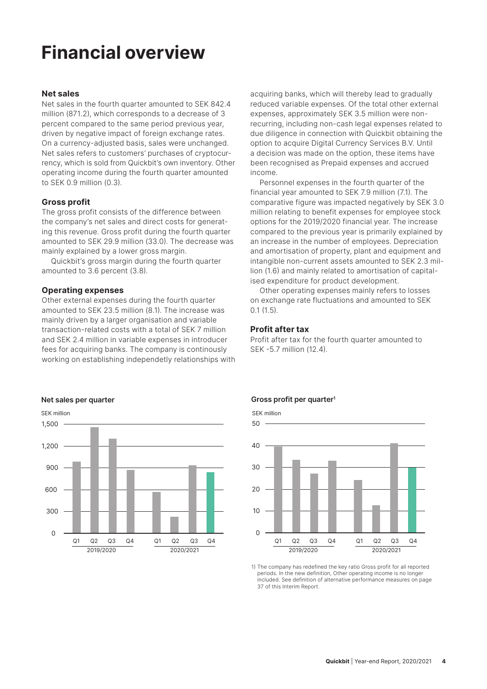## **Financial overview**

#### **Net sales**

Net sales in the fourth quarter amounted to SEK 842.4 million (871.2), which corresponds to a decrease of 3 percent compared to the same period previous year, driven by negative impact of foreign exchange rates. On a currency-adjusted basis, sales were unchanged. Net sales refers to customers' purchases of cryptocurrency, which is sold from Quickbit's own inventory. Other operating income during the fourth quarter amounted to SEK 0.9 million (0.3).

#### **Gross profit**

The gross profit consists of the difference between the company's net sales and direct costs for generating this revenue. Gross profit during the fourth quarter amounted to SEK 29.9 million (33.0). The decrease was mainly explained by a lower gross margin.

Quickbit's gross margin during the fourth quarter amounted to 3.6 percent (3.8).

#### **Operating expenses**

Other external expenses during the fourth quarter amounted to SEK 23.5 million (8.1). The increase was mainly driven by a larger organisation and variable transaction-related costs with a total of SEK 7 million and SEK 2.4 million in variable expenses in introducer fees for acquiring banks. The company is continously working on establishing independetly relationships with

#### **Net sales per quarter**



acquiring banks, which will thereby lead to gradually reduced variable expenses. Of the total other external expenses, approximately SEK 3.5 million were nonrecurring, including non-cash legal expenses related to due diligence in connection with Quickbit obtaining the option to acquire Digital Currency Services B.V. Until a decision was made on the option, these items have been recognised as Prepaid expenses and accrued income.

Personnel expenses in the fourth quarter of the financial year amounted to SEK 7.9 million (7.1). The comparative figure was impacted negatively by SEK 3.0 million relating to benefit expenses for employee stock options for the 2019/2020 financial year. The increase compared to the previous year is primarily explained by an increase in the number of employees. Depreciation and amortisation of property, plant and equipment and intangible non-current assets amounted to SEK 2.3 million (1.6) and mainly related to amortisation of capitalised expenditure for product development.

Other operating expenses mainly refers to losses on exchange rate fluctuations and amounted to SEK 0.1 (1.5).

#### **Profit after tax**

Profit after tax for the fourth quarter amounted to SEK -5.7 million (12.4).

#### **Gross profit per quarter1**



1) The company has redefined the key ratio Gross profit for all reported periods. In the new definition, Other operating income is no longer included. See definition of alternative performance measures on page 37 of this Interim Report.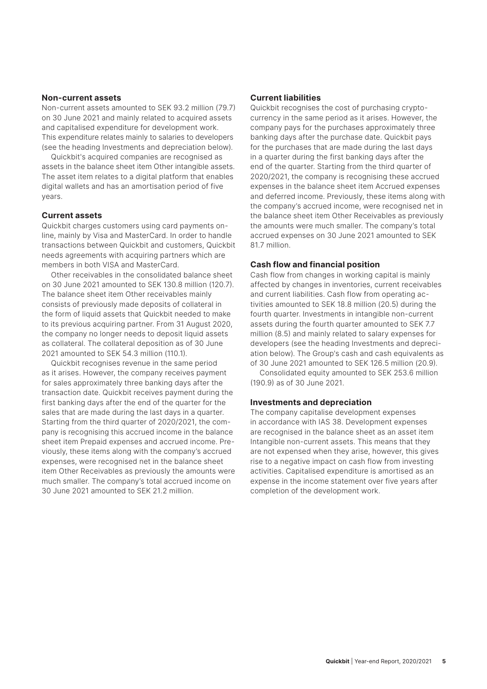#### **Non-current assets**

Non-current assets amounted to SEK 93.2 million (79.7) on 30 June 2021 and mainly related to acquired assets and capitalised expenditure for development work. This expenditure relates mainly to salaries to developers (see the heading Investments and depreciation below).

Quickbit's acquired companies are recognised as assets in the balance sheet item Other intangible assets. The asset item relates to a digital platform that enables digital wallets and has an amortisation period of five years.

#### **Current assets**

Quickbit charges customers using card payments online, mainly by Visa and MasterCard. In order to handle transactions between Quickbit and customers, Quickbit needs agreements with acquiring partners which are members in both VISA and MasterCard.

Other receivables in the consolidated balance sheet on 30 June 2021 amounted to SEK 130.8 million (120.7). The balance sheet item Other receivables mainly consists of previously made deposits of collateral in the form of liquid assets that Quickbit needed to make to its previous acquiring partner. From 31 August 2020, the company no longer needs to deposit liquid assets as collateral. The collateral deposition as of 30 June 2021 amounted to SEK 54.3 million (110.1).

Quickbit recognises revenue in the same period as it arises. However, the company receives payment for sales approximately three banking days after the transaction date. Quickbit receives payment during the first banking days after the end of the quarter for the sales that are made during the last days in a quarter. Starting from the third quarter of 2020/2021, the company is recognising this accrued income in the balance sheet item Prepaid expenses and accrued income. Previously, these items along with the company's accrued expenses, were recognised net in the balance sheet item Other Receivables as previously the amounts were much smaller. The company's total accrued income on 30 June 2021 amounted to SEK 21.2 million.

#### **Current liabilities**

Quickbit recognises the cost of purchasing cryptocurrency in the same period as it arises. However, the company pays for the purchases approximately three banking days after the purchase date. Quickbit pays for the purchases that are made during the last days in a quarter during the first banking days after the end of the quarter. Starting from the third quarter of 2020/2021, the company is recognising these accrued expenses in the balance sheet item Accrued expenses and deferred income. Previously, these items along with the company's accrued income, were recognised net in the balance sheet item Other Receivables as previously the amounts were much smaller. The company's total accrued expenses on 30 June 2021 amounted to SEK 81.7 million.

#### **Cash flow and financial position**

Cash flow from changes in working capital is mainly affected by changes in inventories, current receivables and current liabilities. Cash flow from operating activities amounted to SEK 18.8 million (20.5) during the fourth quarter. Investments in intangible non-current assets during the fourth quarter amounted to SEK 7.7 million (8.5) and mainly related to salary expenses for developers (see the heading Investments and depreciation below). The Group's cash and cash equivalents as of 30 June 2021 amounted to SEK 126.5 million (20.9).

Consolidated equity amounted to SEK 253.6 million (190.9) as of 30 June 2021.

#### **Investments and depreciation**

The company capitalise development expenses in accordance with IAS 38. Development expenses are recognised in the balance sheet as an asset item Intangible non-current assets. This means that they are not expensed when they arise, however, this gives rise to a negative impact on cash flow from investing activities. Capitalised expenditure is amortised as an expense in the income statement over five years after completion of the development work.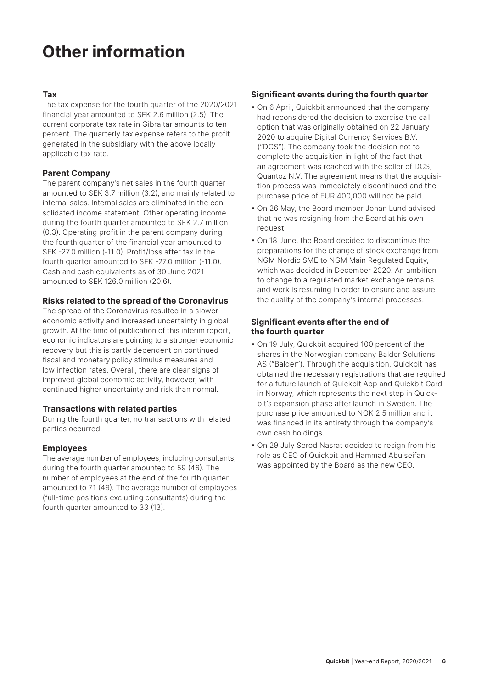## **Other information**

#### **Tax**

The tax expense for the fourth quarter of the 2020/2021 financial year amounted to SEK 2.6 million (2.5). The current corporate tax rate in Gibraltar amounts to ten percent. The quarterly tax expense refers to the profit generated in the subsidiary with the above locally applicable tax rate.

#### **Parent Company**

The parent company's net sales in the fourth quarter amounted to SEK 3.7 million (3.2), and mainly related to internal sales. Internal sales are eliminated in the consolidated income statement. Other operating income during the fourth quarter amounted to SEK 2.7 million (0.3). Operating profit in the parent company during the fourth quarter of the financial year amounted to SEK -27.0 million (-11.0). Profit/loss after tax in the fourth quarter amounted to SEK -27.0 million (-11.0). Cash and cash equivalents as of 30 June 2021 amounted to SEK 126.0 million (20.6).

#### **Risks related to the spread of the Coronavirus**

The spread of the Coronavirus resulted in a slower economic activity and increased uncertainty in global growth. At the time of publication of this interim report, economic indicators are pointing to a stronger economic recovery but this is partly dependent on continued fiscal and monetary policy stimulus measures and low infection rates. Overall, there are clear signs of improved global economic activity, however, with continued higher uncertainty and risk than normal.

#### **Transactions with related parties**

During the fourth quarter, no transactions with related parties occurred.

#### **Employees**

The average number of employees, including consultants, during the fourth quarter amounted to 59 (46). The number of employees at the end of the fourth quarter amounted to 71 (49). The average number of employees (full-time positions excluding consultants) during the fourth quarter amounted to 33 (13).

#### **Significant events during the fourth quarter**

- On 6 April, Quickbit announced that the company had reconsidered the decision to exercise the call option that was originally obtained on 22 January 2020 to acquire Digital Currency Services B.V. ("DCS"). The company took the decision not to complete the acquisition in light of the fact that an agreement was reached with the seller of DCS, Quantoz N.V. The agreement means that the acquisition process was immediately discontinued and the purchase price of EUR 400,000 will not be paid.
- On 26 May, the Board member Johan Lund advised that he was resigning from the Board at his own request.
- On 18 June, the Board decided to discontinue the preparations for the change of stock exchange from NGM Nordic SME to NGM Main Regulated Equity, which was decided in December 2020. An ambition to change to a regulated market exchange remains and work is resuming in order to ensure and assure the quality of the company's internal processes.

#### **Significant events after the end of the fourth quarter**

- On 19 July, Quickbit acquired 100 percent of the shares in the Norwegian company Balder Solutions AS ("Balder"). Through the acquisition, Quickbit has obtained the necessary registrations that are required for a future launch of Quickbit App and Quickbit Card in Norway, which represents the next step in Quickbit's expansion phase after launch in Sweden. The purchase price amounted to NOK 2.5 million and it was financed in its entirety through the company's own cash holdings.
- On 29 July Serod Nasrat decided to resign from his role as CEO of Quickbit and Hammad Abuiseifan was appointed by the Board as the new CEO.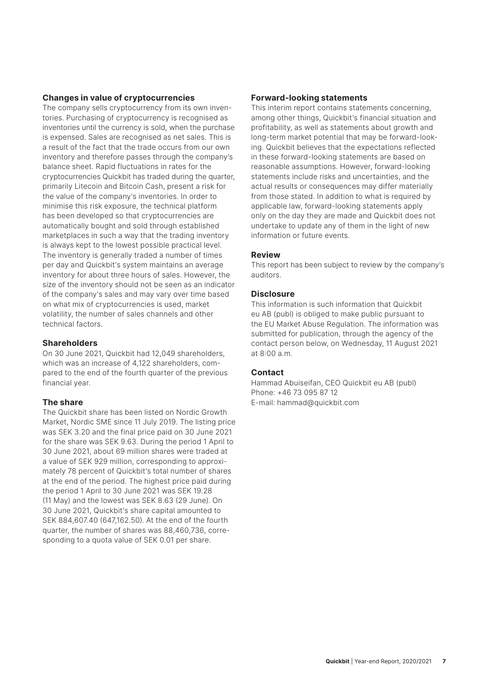#### **Changes in value of cryptocurrencies**

The company sells cryptocurrency from its own inventories. Purchasing of cryptocurrency is recognised as inventories until the currency is sold, when the purchase is expensed. Sales are recognised as net sales. This is a result of the fact that the trade occurs from our own inventory and therefore passes through the company's balance sheet. Rapid fluctuations in rates for the cryptocurrencies Quickbit has traded during the quarter, primarily Litecoin and Bitcoin Cash, present a risk for the value of the company's inventories. In order to minimise this risk exposure, the technical platform has been developed so that cryptocurrencies are automatically bought and sold through established marketplaces in such a way that the trading inventory is always kept to the lowest possible practical level. The inventory is generally traded a number of times per day and Quickbit's system maintains an average inventory for about three hours of sales. However, the size of the inventory should not be seen as an indicator of the company's sales and may vary over time based on what mix of cryptocurrencies is used, market volatility, the number of sales channels and other technical factors.

#### **Shareholders**

On 30 June 2021, Quickbit had 12,049 shareholders, which was an increase of 4,122 shareholders, compared to the end of the fourth quarter of the previous financial year.

#### **The share**

The Quickbit share has been listed on Nordic Growth Market, Nordic SME since 11 July 2019. The listing price was SEK 3.20 and the final price paid on 30 June 2021 for the share was SEK 9.63. During the period 1 April to 30 June 2021, about 69 million shares were traded at a value of SEK 929 million, corresponding to approximately 78 percent of Quickbit's total number of shares at the end of the period. The highest price paid during the period 1 April to 30 June 2021 was SEK 19.28 (11 May) and the lowest was SEK 8.63 (29 June). On 30 June 2021, Quickbit's share capital amounted to SEK 884,607.40 (647,162.50). At the end of the fourth quarter, the number of shares was 88,460,736, corresponding to a quota value of SEK 0.01 per share.

#### **Forward-looking statements**

This interim report contains statements concerning, among other things, Quickbit's financial situation and profitability, as well as statements about growth and long-term market potential that may be forward-looking. Quickbit believes that the expectations reflected in these forward-looking statements are based on reasonable assumptions. However, forward-looking statements include risks and uncertainties, and the actual results or consequences may differ materially from those stated. In addition to what is required by applicable law, forward-looking statements apply only on the day they are made and Quickbit does not undertake to update any of them in the light of new information or future events.

#### **Review**

This report has been subject to review by the company's auditors.

#### **Disclosure**

This information is such information that Quickbit eu AB (publ) is obliged to make public pursuant to the EU Market Abuse Regulation. The information was submitted for publication, through the agency of the contact person below, on Wednesday, 11 August 2021 at 8:00 a.m.

#### **Contact**

Hammad Abuiseifan, CEO Quickbit eu AB (publ) Phone: +46 73 095 87 12 E-mail: hammad@quickbit.com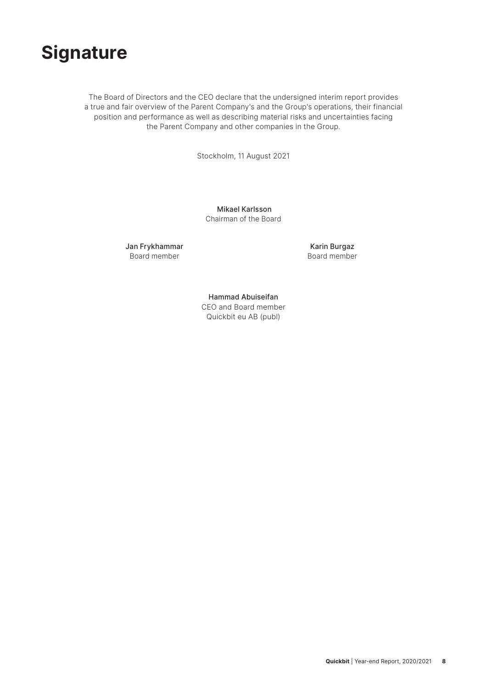## **Signature**

The Board of Directors and the CEO declare that the undersigned interim report provides a true and fair overview of the Parent Company's and the Group's operations, their financial position and performance as well as describing material risks and uncertainties facing the Parent Company and other companies in the Group.

Stockholm, 11 August 2021

 Mikael Karlsson Chairman of the Board

Jan Frykhammar Board member

Karin Burgaz Board member

Hammad Abuiseifan CEO and Board member Quickbit eu AB (publ)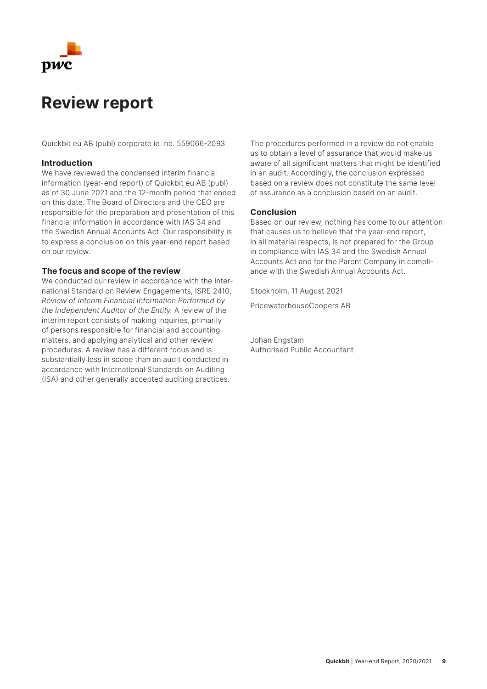

## **Review report**

Quickbit eu AB (publ) corporate id. no. 559066-2093

#### **Introduction**

We have reviewed the condensed interim financial information (year-end report) of Quickbit eu AB (publ) as of 30 June 2021 and the 12-month period that ended on this date. The Board of Directors and the CEO are responsible for the preparation and presentation of this financial information in accordance with IAS 34 and the Swedish Annual Accounts Act. Our responsibility is to express a conclusion on this year-end report based on our review.

#### **The focus and scope of the review**

We conducted our review in accordance with the International Standard on Review Engagements, ISRE 2410, *Review of Interim Financial Information Performed by the Independent Auditor of the Entity.* A review of the interim report consists of making inquiries, primarily of persons responsible for financial and accounting matters, and applying analytical and other review procedures. A review has a different focus and is substantially less in scope than an audit conducted in accordance with International Standards on Auditing (ISA) and other generally accepted auditing practices.

The procedures performed in a review do not enable us to obtain a level of assurance that would make us aware of all significant matters that might be identified in an audit. Accordingly, the conclusion expressed based on a review does not constitute the same level of assurance as a conclusion based on an audit.

#### **Conclusion**

Based on our review, nothing has come to our attention that causes us to believe that the year-end report, in all material respects, is not prepared for the Group in compliance with IAS 34 and the Swedish Annual Accounts Act and for the Parent Company in compliance with the Swedish Annual Accounts Act.

Stockholm, 11 August 2021

PricewaterhouseCoopers AB

Johan Engstam Authorised Public Accountant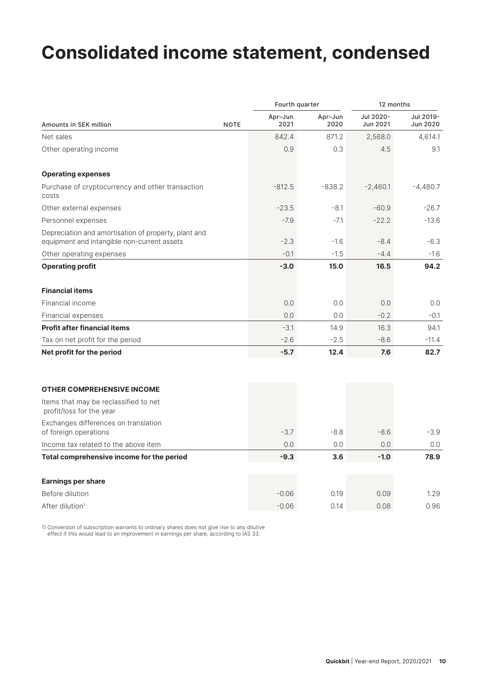## **Consolidated income statement, condensed**

|                                                                                                     |             | Fourth quarter  |                 | 12 months             |                       |
|-----------------------------------------------------------------------------------------------------|-------------|-----------------|-----------------|-----------------------|-----------------------|
| Amounts in SEK million                                                                              | <b>NOTE</b> | Apr-Jun<br>2021 | Apr-Jun<br>2020 | Jul 2020-<br>Jun 2021 | Jul 2019-<br>Jun 2020 |
| Net sales                                                                                           |             | 842.4           | 871.2           | 2,568.0               | 4,614.1               |
| Other operating income                                                                              |             | 0.9             | 0.3             | 4.5                   | 9.1                   |
| <b>Operating expenses</b>                                                                           |             |                 |                 |                       |                       |
| Purchase of cryptocurrency and other transaction<br>costs                                           |             | $-812.5$        | $-838.2$        | $-2,460.1$            | $-4,480.7$            |
| Other external expenses                                                                             |             | $-23.5$         | $-8.1$          | $-60.9$               | $-26.7$               |
| Personnel expenses                                                                                  |             | $-7.9$          | $-7.1$          | $-22.2$               | $-13.6$               |
| Depreciation and amortisation of property, plant and<br>equipment and intangible non-current assets |             | $-2.3$          | $-1.6$          | $-8.4$                | $-6.3$                |
| Other operating expenses                                                                            |             | $-0.1$          | $-1.5$          | $-4.4$                | $-1.6$                |
| <b>Operating profit</b>                                                                             |             | $-3.0$          | 15.0            | 16.5                  | 94.2                  |
| <b>Financial items</b>                                                                              |             |                 |                 |                       |                       |
| Financial income                                                                                    |             | 0.0             | 0.0             | 0.0                   | 0.0                   |
| Financial expenses                                                                                  |             | 0.0             | 0.0             | $-0.2$                | $-0.1$                |
| <b>Profit after financial items</b>                                                                 |             | $-3.1$          | 14.9            | 16.3                  | 94.1                  |
| Tax on net profit for the period                                                                    |             | $-2.6$          | $-2.5$          | $-8.6$                | $-11.4$               |
| Net profit for the period                                                                           |             | $-5.7$          | 12.4            | 7.6                   | 82.7                  |
| <b>OTHER COMPREHENSIVE INCOME</b>                                                                   |             |                 |                 |                       |                       |
| Items that may be reclassified to net<br>profit/loss for the year                                   |             |                 |                 |                       |                       |
| Exchanges differences on translation<br>of foreign operations                                       |             | $-3.7$          | $-8.8$          | $-8.6$                | $-3.9$                |
| Income tax related to the above item                                                                |             | 0.0             | 0.0             | 0.0                   | 0.0                   |
| Total comprehensive income for the period                                                           |             | $-9.3$          | 3.6             | $-1.0$                | 78.9                  |
| <b>Earnings per share</b>                                                                           |             |                 |                 |                       |                       |
| Before dilution                                                                                     |             | $-0.06$         | 0.19            | 0.09                  | 1.29                  |
| After dilution <sup>1</sup>                                                                         |             | $-0.06$         | 0.14            | 0.08                  | 0.96                  |

1) Conversion of subscription warrants to ordinary shares does not give rise to any dilutive effect if this would lead to an improvement in earnings per share, according to IAS 33.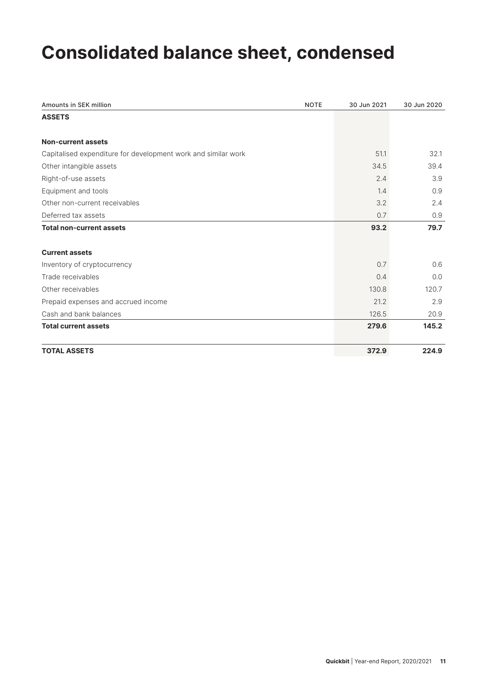## **Consolidated balance sheet, condensed**

| Amounts in SEK million                                        | <b>NOTE</b> | 30 Jun 2021 | 30 Jun 2020 |
|---------------------------------------------------------------|-------------|-------------|-------------|
| <b>ASSETS</b>                                                 |             |             |             |
|                                                               |             |             |             |
| <b>Non-current assets</b>                                     |             |             |             |
| Capitalised expenditure for development work and similar work |             | 51.1        | 32.1        |
| Other intangible assets                                       |             | 34.5        | 39.4        |
| Right-of-use assets                                           |             | 2.4         | 3.9         |
| Equipment and tools                                           |             | 1.4         | 0.9         |
| Other non-current receivables                                 |             | 3.2         | 2.4         |
| Deferred tax assets                                           |             | 0.7         | 0.9         |
| <b>Total non-current assets</b>                               |             | 93.2        | 79.7        |
| <b>Current assets</b>                                         |             |             |             |
|                                                               |             |             | 0.6         |
| Inventory of cryptocurrency                                   |             | 0.7         |             |
| Trade receivables                                             |             | 0.4         | 0.0         |
| Other receivables                                             |             | 130.8       | 120.7       |
| Prepaid expenses and accrued income                           |             | 21.2        | 2.9         |
| Cash and bank balances                                        |             | 126.5       | 20.9        |
| <b>Total current assets</b>                                   |             | 279.6       | 145.2       |
| <b>TOTAL ASSETS</b>                                           |             | 372.9       | 224.9       |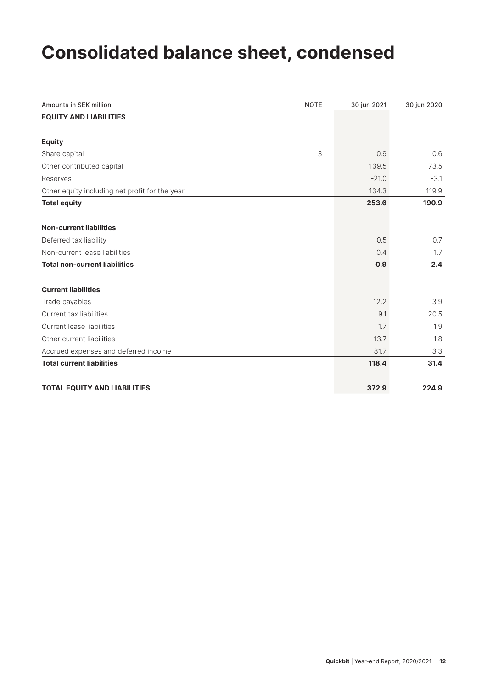## **Consolidated balance sheet, condensed**

| Amounts in SEK million                         | <b>NOTE</b> | 30 jun 2021 | 30 jun 2020 |
|------------------------------------------------|-------------|-------------|-------------|
| <b>EQUITY AND LIABILITIES</b>                  |             |             |             |
| <b>Equity</b>                                  |             |             |             |
| Share capital                                  | 3           | 0.9         | 0.6         |
| Other contributed capital                      |             | 139.5       | 73.5        |
| Reserves                                       |             | $-21.0$     | $-3.1$      |
| Other equity including net profit for the year |             | 134.3       | 119.9       |
| <b>Total equity</b>                            |             | 253.6       | 190.9       |
| <b>Non-current liabilities</b>                 |             |             |             |
| Deferred tax liability                         |             | 0.5         | 0.7         |
| Non-current lease liabilities                  |             | 0.4         | 1.7         |
| <b>Total non-current liabilities</b>           |             | 0.9         | 2.4         |
| <b>Current liabilities</b>                     |             |             |             |
| Trade payables                                 |             | 12.2        | 3.9         |
| Current tax liabilities                        |             | 9.1         | 20.5        |
| Current lease liabilities                      |             | 1.7         | 1.9         |
| Other current liabilities                      |             | 13.7        | 1.8         |
| Accrued expenses and deferred income           |             | 81.7        | 3.3         |
| <b>Total current liabilities</b>               |             | 118.4       | 31.4        |
| <b>TOTAL EQUITY AND LIABILITIES</b>            |             | 372.9       | 224.9       |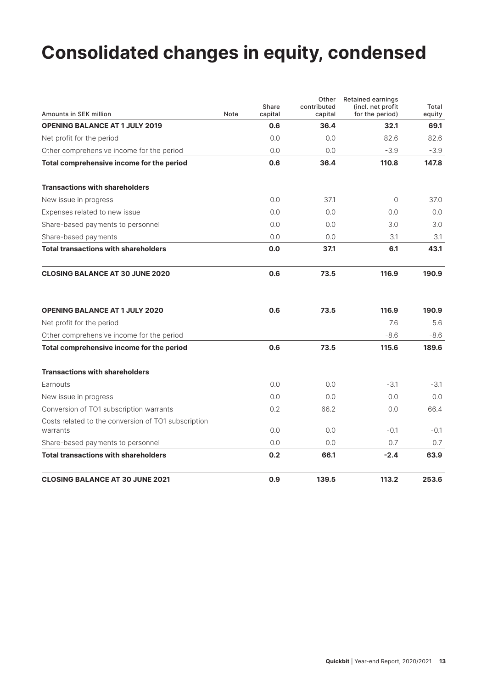## **Consolidated changes in equity, condensed**

| Amounts in SEK million                                          | <b>Note</b> | Share<br>capital | Other<br>contributed<br>capital | <b>Retained earnings</b><br>(incl. net profit<br>for the period) | Total<br>equity |
|-----------------------------------------------------------------|-------------|------------------|---------------------------------|------------------------------------------------------------------|-----------------|
| <b>OPENING BALANCE AT 1 JULY 2019</b>                           |             | 0.6              | 36.4                            | 32.1                                                             | 69.1            |
| Net profit for the period                                       |             | 0.0              | 0.0                             | 82.6                                                             | 82.6            |
| Other comprehensive income for the period                       |             | 0.0              | 0.0                             | $-3.9$                                                           | $-3.9$          |
| Total comprehensive income for the period                       |             | 0.6              | 36.4                            | 110.8                                                            | 147.8           |
| <b>Transactions with shareholders</b>                           |             |                  |                                 |                                                                  |                 |
| New issue in progress                                           |             | 0.0              | 37.1                            | $\circ$                                                          | 37.0            |
| Expenses related to new issue                                   |             | 0.0              | 0.0                             | 0.0                                                              | 0.0             |
| Share-based payments to personnel                               |             | 0.0              | 0.0                             | 3.0                                                              | 3.0             |
| Share-based payments                                            |             | 0.0              | 0.0                             | 3.1                                                              | 3.1             |
| <b>Total transactions with shareholders</b>                     |             | 0.0              | 37.1                            | 6.1                                                              | 43.1            |
| <b>CLOSING BALANCE AT 30 JUNE 2020</b>                          |             | 0.6              | 73.5                            | 116.9                                                            | 190.9           |
| <b>OPENING BALANCE AT 1 JULY 2020</b>                           |             | 0.6              | 73.5                            | 116.9                                                            | 190.9           |
| Net profit for the period                                       |             |                  |                                 | 7.6                                                              | 5.6             |
| Other comprehensive income for the period                       |             |                  |                                 | $-8.6$                                                           | $-8.6$          |
| Total comprehensive income for the period                       |             | 0.6              | 73.5                            | 115.6                                                            | 189.6           |
| <b>Transactions with shareholders</b>                           |             |                  |                                 |                                                                  |                 |
| Earnouts                                                        |             | 0.0              | 0.0                             | $-3.1$                                                           | $-3.1$          |
| New issue in progress                                           |             | 0.0              | 0.0                             | 0.0                                                              | 0.0             |
| Conversion of TO1 subscription warrants                         |             | 0.2              | 66.2                            | 0.0                                                              | 66.4            |
| Costs related to the conversion of TO1 subscription<br>warrants |             | 0.0              | 0.0                             | $-0.1$                                                           | $-0.1$          |
| Share-based payments to personnel                               |             | 0.0              | 0.0                             | 0.7                                                              | 0.7             |
| <b>Total transactions with shareholders</b>                     |             | 0.2              | 66.1                            | $-2.4$                                                           | 63.9            |
| <b>CLOSING BALANCE AT 30 JUNE 2021</b>                          |             | 0.9              | 139.5                           | 113.2                                                            | 253.6           |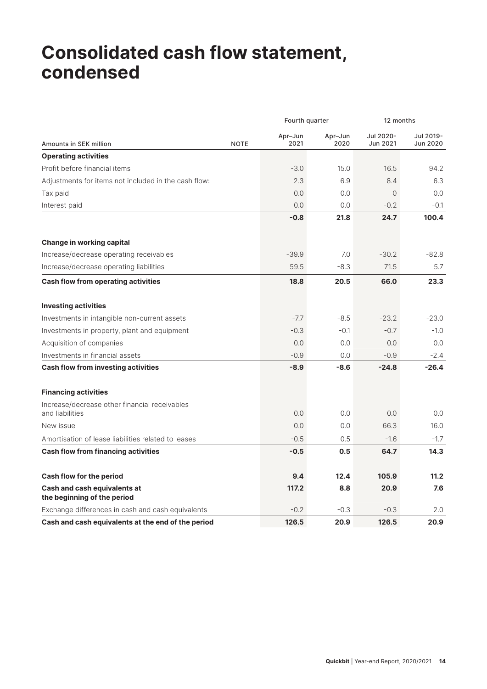## **Consolidated cash flow statement, condensed**

|                                                             |             | Fourth quarter  |                 | 12 months             |                       |
|-------------------------------------------------------------|-------------|-----------------|-----------------|-----------------------|-----------------------|
| Amounts in SEK million                                      | <b>NOTE</b> | Apr-Jun<br>2021 | Apr-Jun<br>2020 | Jul 2020-<br>Jun 2021 | Jul 2019-<br>Jun 2020 |
| <b>Operating activities</b>                                 |             |                 |                 |                       |                       |
| Profit before financial items                               |             | $-3.0$          | 15.0            | 16.5                  | 94.2                  |
| Adjustments for items not included in the cash flow:        |             | 2.3             | 6.9             | 8.4                   | 6.3                   |
| Tax paid                                                    |             | 0.0             | 0.0             | $\Omega$              | 0.0                   |
| Interest paid                                               |             | 0.0             | 0.0             | $-0.2$                | $-0.1$                |
|                                                             |             | $-0.8$          | 21.8            | 24.7                  | 100.4                 |
| <b>Change in working capital</b>                            |             |                 |                 |                       |                       |
| Increase/decrease operating receivables                     |             | $-39.9$         | 7.0             | $-30.2$               | $-82.8$               |
| Increase/decrease operating liabilities                     |             | 59.5            | $-8.3$          | 71.5                  | 5.7                   |
| <b>Cash flow from operating activities</b>                  |             | 18.8            | 20.5            | 66.0                  | 23.3                  |
| <b>Investing activities</b>                                 |             |                 |                 |                       |                       |
| Investments in intangible non-current assets                |             | $-7.7$          | $-8.5$          | $-23.2$               | $-23.0$               |
| Investments in property, plant and equipment                |             | $-0.3$          | $-0.1$          | $-0.7$                | $-1.0$                |
| Acquisition of companies                                    |             | 0.0             | 0.0             | 0.0                   | 0.0                   |
| Investments in financial assets                             |             | $-0.9$          | 0.0             | $-0.9$                | $-2.4$                |
| <b>Cash flow from investing activities</b>                  |             | $-8.9$          | $-8.6$          | $-24.8$               | $-26.4$               |
| <b>Financing activities</b>                                 |             |                 |                 |                       |                       |
| Increase/decrease other financial receivables               |             |                 |                 |                       |                       |
| and liabilities                                             |             | 0.0             | 0.0             | 0.0                   | 0.0                   |
| New issue                                                   |             | 0.0             | 0.0             | 66.3                  | 16.0                  |
| Amortisation of lease liabilities related to leases         |             | $-0.5$          | 0.5             | $-1.6$                | $-1.7$                |
| <b>Cash flow from financing activities</b>                  |             | $-0.5$          | 0.5             | 64.7                  | 14.3                  |
| Cash flow for the period                                    |             | 9.4             | 12.4            | 105.9                 | 11.2                  |
| Cash and cash equivalents at<br>the beginning of the period |             | 117.2           | 8.8             | 20.9                  | 7.6                   |
| Exchange differences in cash and cash equivalents           |             | $-0.2$          | $-0.3$          | $-0.3$                | 2.0                   |
| Cash and cash equivalents at the end of the period          |             | 126.5           | 20.9            | 126.5                 | 20.9                  |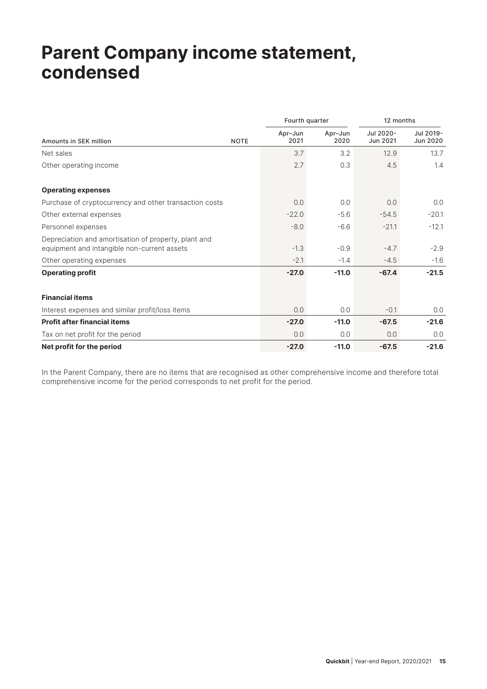## **Parent Company income statement, condensed**

|                                                                                                     |             | Fourth quarter  |                 | 12 months             |                       |
|-----------------------------------------------------------------------------------------------------|-------------|-----------------|-----------------|-----------------------|-----------------------|
| Amounts in SEK million                                                                              | <b>NOTE</b> | Apr-Jun<br>2021 | Apr-Jun<br>2020 | Jul 2020-<br>Jun 2021 | Jul 2019-<br>Jun 2020 |
| Net sales                                                                                           |             | 3.7             | 3.2             | 12.9                  | 13.7                  |
| Other operating income                                                                              |             | 2.7             | 0.3             | 4.5                   | 1.4                   |
| <b>Operating expenses</b>                                                                           |             |                 |                 |                       |                       |
| Purchase of cryptocurrency and other transaction costs                                              |             | 0.0             | 0.0             | 0.0                   | 0.0                   |
| Other external expenses                                                                             |             | $-22.0$         | $-5.6$          | $-54.5$               | $-20.1$               |
| Personnel expenses                                                                                  |             | $-8.0$          | $-6.6$          | $-21.1$               | $-12.1$               |
| Depreciation and amortisation of property, plant and<br>equipment and intangible non-current assets |             | $-1.3$          | $-0.9$          | $-4.7$                | $-2.9$                |
| Other operating expenses                                                                            |             | $-2.1$          | $-1.4$          | $-4.5$                | $-1.6$                |
| <b>Operating profit</b>                                                                             |             | $-27.0$         | $-11.0$         | $-67.4$               | $-21.5$               |
| <b>Financial items</b>                                                                              |             |                 |                 |                       |                       |
| Interest expenses and similar profit/loss items                                                     |             | 0.0             | 0.0             | $-0.1$                | 0.0                   |
| <b>Profit after financial items</b>                                                                 |             | $-27.0$         | $-11.0$         | $-67.5$               | $-21.6$               |
| Tax on net profit for the period                                                                    |             | 0.0             | 0.0             | 0.0                   | 0.0                   |
| Net profit for the period                                                                           |             | $-27.0$         | $-11.0$         | $-67.5$               | $-21.6$               |

In the Parent Company, there are no items that are recognised as other comprehensive income and therefore total comprehensive income for the period corresponds to net profit for the period.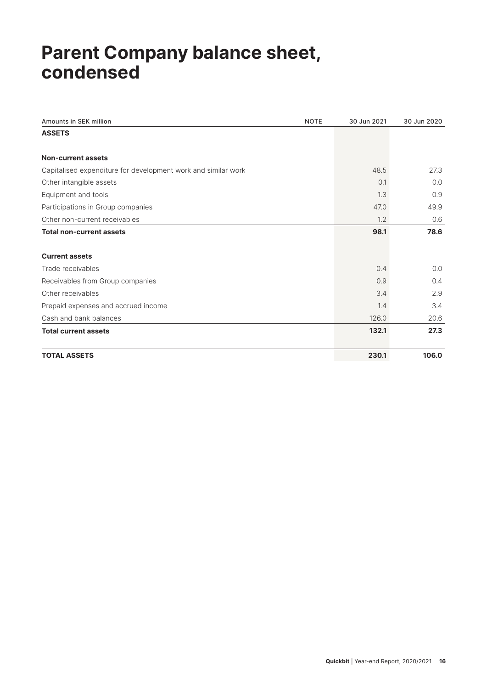## **Parent Company balance sheet, condensed**

| Amounts in SEK million                                        | <b>NOTE</b> | 30 Jun 2021 | 30 Jun 2020 |
|---------------------------------------------------------------|-------------|-------------|-------------|
| <b>ASSETS</b>                                                 |             |             |             |
|                                                               |             |             |             |
| <b>Non-current assets</b>                                     |             |             |             |
| Capitalised expenditure for development work and similar work |             | 48.5        | 27.3        |
| Other intangible assets                                       |             | 0.1         | 0.0         |
| Equipment and tools                                           |             | 1.3         | 0.9         |
| Participations in Group companies                             |             | 47.0        | 49.9        |
| Other non-current receivables                                 |             | 1.2         | 0.6         |
| <b>Total non-current assets</b>                               |             | 98.1        | 78.6        |
|                                                               |             |             |             |
| <b>Current assets</b>                                         |             |             |             |
| Trade receivables                                             |             | 0.4         | 0.0         |
| Receivables from Group companies                              |             | 0.9         | 0.4         |
| Other receivables                                             |             | 3.4         | 2.9         |
| Prepaid expenses and accrued income                           |             | 1.4         | 3.4         |
| Cash and bank balances                                        |             | 126.0       | 20.6        |
| <b>Total current assets</b>                                   |             | 132.1       | 27.3        |
| <b>TOTAL ASSETS</b>                                           |             | 230.1       | 106.0       |
|                                                               |             |             |             |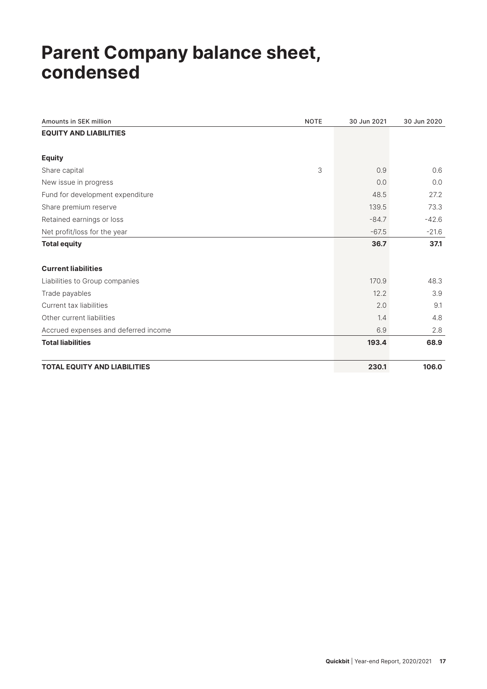## **Parent Company balance sheet, condensed**

| Amounts in SEK million               | <b>NOTE</b> | 30 Jun 2021 | 30 Jun 2020 |
|--------------------------------------|-------------|-------------|-------------|
| <b>EQUITY AND LIABILITIES</b>        |             |             |             |
|                                      |             |             |             |
| <b>Equity</b>                        |             |             |             |
| Share capital                        | 3           | 0.9         | 0.6         |
| New issue in progress                |             | 0.0         | 0.0         |
| Fund for development expenditure     |             | 48.5        | 27.2        |
| Share premium reserve                |             | 139.5       | 73.3        |
| Retained earnings or loss            |             | $-84.7$     | $-42.6$     |
| Net profit/loss for the year         |             | $-67.5$     | $-21.6$     |
| <b>Total equity</b>                  |             | 36.7        | 37.1        |
| <b>Current liabilities</b>           |             |             |             |
| Liabilities to Group companies       |             | 170.9       | 48.3        |
| Trade payables                       |             | 12.2        | 3.9         |
| Current tax liabilities              |             | 2.0         | 9.1         |
| Other current liabilities            |             | 1.4         | 4.8         |
| Accrued expenses and deferred income |             | 6.9         | 2.8         |
| <b>Total liabilities</b>             |             | 193.4       | 68.9        |
| <b>TOTAL EQUITY AND LIABILITIES</b>  |             | 230.1       | 106.0       |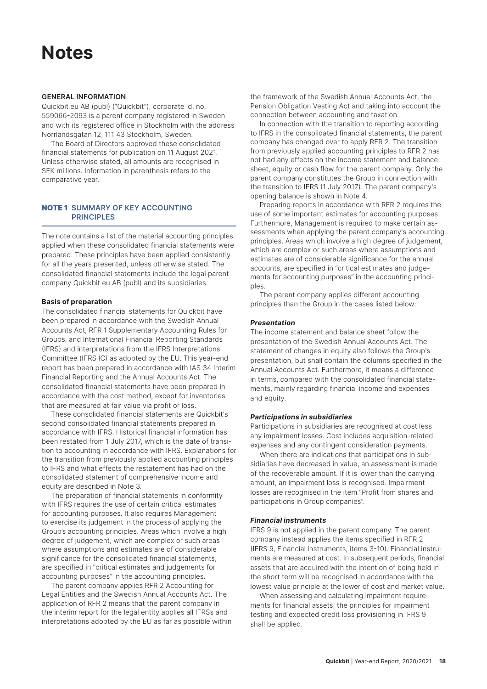#### **GENERAL INFORMATION**

Quickbit eu AB (publ) ("Quickbit"), corporate id. no. 559066-2093 is a parent company registered in Sweden and with its registered office in Stockholm with the address Norrlandsgatan 12, 111 43 Stockholm, Sweden.

The Board of Directors approved these consolidated financial statements for publication on 11 August 2021. Unless otherwise stated, all amounts are recognised in SEK millions. Information in parenthesis refers to the comparative year.

#### NOTE 1 **SUMMARY OF KEY ACCOUNTING PRINCIPLES**

The note contains a list of the material accounting principles applied when these consolidated financial statements were prepared. These principles have been applied consistently for all the years presented, unless otherwise stated. The consolidated financial statements include the legal parent company Quickbit eu AB (publ) and its subsidiaries.

#### **Basis of preparation**

The consolidated financial statements for Quickbit have been prepared in accordance with the Swedish Annual Accounts Act, RFR 1 Supplementary Accounting Rules for Groups, and International Financial Reporting Standards (IFRS) and interpretations from the IFRS Interpretations Committee (IFRS IC) as adopted by the EU. This year-end report has been prepared in accordance with IAS 34 Interim Financial Reporting and the Annual Accounts Act. The consolidated financial statements have been prepared in accordance with the cost method, except for inventories that are measured at fair value via profit or loss.

These consolidated financial statements are Quickbit's second consolidated financial statements prepared in accordance with IFRS. Historical financial information has been restated from 1 July 2017, which is the date of transition to accounting in accordance with IFRS. Explanations for the transition from previously applied accounting principles to IFRS and what effects the restatement has had on the consolidated statement of comprehensive income and equity are described in Note 3.

The preparation of financial statements in conformity with IFRS requires the use of certain critical estimates for accounting purposes. It also requires Management to exercise its judgement in the process of applying the Group's accounting principles. Areas which involve a high degree of judgement, which are complex or such areas where assumptions and estimates are of considerable significance for the consolidated financial statements, are specified in "critical estimates and judgements for accounting purposes" in the accounting principles.

The parent company applies RFR 2 Accounting for Legal Entities and the Swedish Annual Accounts Act. The application of RFR 2 means that the parent company in the interim report for the legal entity applies all IFRSs and interpretations adopted by the EU as far as possible within the framework of the Swedish Annual Accounts Act, the Pension Obligation Vesting Act and taking into account the connection between accounting and taxation.

In connection with the transition to reporting according to IFRS in the consolidated financial statements, the parent company has changed over to apply RFR 2. The transition from previously applied accounting principles to RFR 2 has not had any effects on the income statement and balance sheet, equity or cash flow for the parent company. Only the parent company constitutes the Group in connection with the transition to IFRS (1 July 2017). The parent company's opening balance is shown in Note 4.

Preparing reports in accordance with RFR 2 requires the use of some important estimates for accounting purposes. Furthermore, Management is required to make certain assessments when applying the parent company's accounting principles. Areas which involve a high degree of judgement, which are complex or such areas where assumptions and estimates are of considerable significance for the annual accounts, are specified in "critical estimates and judgements for accounting purposes" in the accounting principles.

The parent company applies different accounting principles than the Group in the cases listed below:

#### *Presentation*

The income statement and balance sheet follow the presentation of the Swedish Annual Accounts Act. The statement of changes in equity also follows the Group's presentation, but shall contain the columns specified in the Annual Accounts Act. Furthermore, it means a difference in terms, compared with the consolidated financial statements, mainly regarding financial income and expenses and equity.

#### *Participations in subsidiaries*

Participations in subsidiaries are recognised at cost less any impairment losses. Cost includes acquisition-related expenses and any contingent consideration payments.

When there are indications that participations in subsidiaries have decreased in value, an assessment is made of the recoverable amount. If it is lower than the carrying amount, an impairment loss is recognised. Impairment losses are recognised in the item "Profit from shares and participations in Group companies".

#### *Financial instruments*

IFRS 9 is not applied in the parent company. The parent company instead applies the items specified in RFR 2 (IFRS 9, Financial instruments, items 3-10). Financial instruments are measured at cost. In subsequent periods, financial assets that are acquired with the intention of being held in the short term will be recognised in accordance with the lowest value principle at the lower of cost and market value.

When assessing and calculating impairment requirements for financial assets, the principles for impairment testing and expected credit loss provisioning in IFRS 9 shall be applied.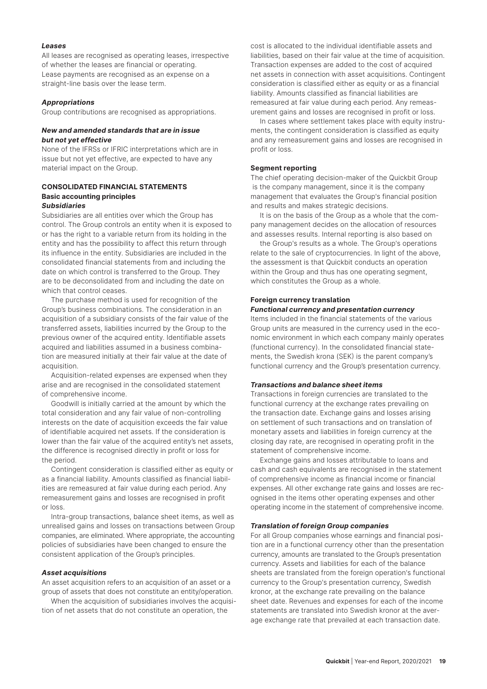#### *Leases*

All leases are recognised as operating leases, irrespective of whether the leases are financial or operating. Lease payments are recognised as an expense on a straight-line basis over the lease term.

#### *Appropriations*

Group contributions are recognised as appropriations.

#### *New and amended standards that are in issue but not yet effective*

None of the IFRSs or IFRIC interpretations which are in issue but not yet effective, are expected to have any material impact on the Group.

#### **CONSOLIDATED FINANCIAL STATEMENTS Basic accounting principles**

#### *Subsidiaries*

Subsidiaries are all entities over which the Group has control. The Group controls an entity when it is exposed to or has the right to a variable return from its holding in the entity and has the possibility to affect this return through its influence in the entity. Subsidiaries are included in the consolidated financial statements from and including the date on which control is transferred to the Group. They are to be deconsolidated from and including the date on which that control ceases.

The purchase method is used for recognition of the Group's business combinations. The consideration in an acquisition of a subsidiary consists of the fair value of the transferred assets, liabilities incurred by the Group to the previous owner of the acquired entity. Identifiable assets acquired and liabilities assumed in a business combination are measured initially at their fair value at the date of acquisition.

Acquisition-related expenses are expensed when they arise and are recognised in the consolidated statement of comprehensive income.

Goodwill is initially carried at the amount by which the total consideration and any fair value of non-controlling interests on the date of acquisition exceeds the fair value of identifiable acquired net assets. If the consideration is lower than the fair value of the acquired entity's net assets, the difference is recognised directly in profit or loss for the period.

Contingent consideration is classified either as equity or as a financial liability. Amounts classified as financial liabilities are remeasured at fair value during each period. Any remeasurement gains and losses are recognised in profit or loss.

Intra-group transactions, balance sheet items, as well as unrealised gains and losses on transactions between Group companies, are eliminated. Where appropriate, the accounting policies of subsidiaries have been changed to ensure the consistent application of the Group's principles.

#### *Asset acquisitions*

An asset acquisition refers to an acquisition of an asset or a group of assets that does not constitute an entity/operation.

When the acquisition of subsidiaries involves the acquisition of net assets that do not constitute an operation, the

cost is allocated to the individual identifiable assets and liabilities, based on their fair value at the time of acquisition. Transaction expenses are added to the cost of acquired net assets in connection with asset acquisitions. Contingent consideration is classified either as equity or as a financial liability. Amounts classified as financial liabilities are remeasured at fair value during each period. Any remeasurement gains and losses are recognised in profit or loss.

In cases where settlement takes place with equity instruments, the contingent consideration is classified as equity and any remeasurement gains and losses are recognised in profit or loss.

#### **Segment reporting**

The chief operating decision-maker of the Quickbit Group is the company management, since it is the company management that evaluates the Group's financial position and results and makes strategic decisions.

It is on the basis of the Group as a whole that the company management decides on the allocation of resources and assesses results. Internal reporting is also based on

the Group's results as a whole. The Group's operations relate to the sale of cryptocurrencies. In light of the above, the assessment is that Quickbit conducts an operation within the Group and thus has one operating segment, which constitutes the Group as a whole.

#### **Foreign currency translation**

#### *Functional currency and presentation currency*

Items included in the financial statements of the various Group units are measured in the currency used in the economic environment in which each company mainly operates (functional currency). In the consolidated financial statements, the Swedish krona (SEK) is the parent company's functional currency and the Group's presentation currency.

#### *Transactions and balance sheet items*

Transactions in foreign currencies are translated to the functional currency at the exchange rates prevailing on the transaction date. Exchange gains and losses arising on settlement of such transactions and on translation of monetary assets and liabilities in foreign currency at the closing day rate, are recognised in operating profit in the statement of comprehensive income.

Exchange gains and losses attributable to loans and cash and cash equivalents are recognised in the statement of comprehensive income as financial income or financial expenses. All other exchange rate gains and losses are recognised in the items other operating expenses and other operating income in the statement of comprehensive income.

#### *Translation of foreign Group companies*

For all Group companies whose earnings and financial position are in a functional currency other than the presentation currency, amounts are translated to the Group's presentation currency. Assets and liabilities for each of the balance sheets are translated from the foreign operation's functional currency to the Group's presentation currency, Swedish kronor, at the exchange rate prevailing on the balance sheet date. Revenues and expenses for each of the income statements are translated into Swedish kronor at the average exchange rate that prevailed at each transaction date.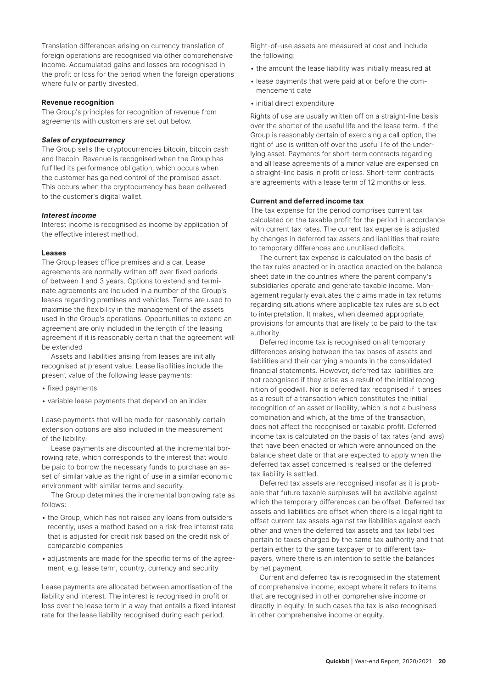Translation differences arising on currency translation of foreign operations are recognised via other comprehensive income. Accumulated gains and losses are recognised in the profit or loss for the period when the foreign operations where fully or partly divested.

#### **Revenue recognition**

The Group's principles for recognition of revenue from agreements with customers are set out below.

#### *Sales of cryptocurrency*

The Group sells the cryptocurrencies bitcoin, bitcoin cash and litecoin. Revenue is recognised when the Group has fulfilled its performance obligation, which occurs when the customer has gained control of the promised asset. This occurs when the cryptocurrency has been delivered to the customer's digital wallet.

#### *Interest income*

Interest income is recognised as income by application of the effective interest method.

#### **Leases**

The Group leases office premises and a car. Lease agreements are normally written off over fixed periods of between 1 and 3 years. Options to extend and terminate agreements are included in a number of the Group's leases regarding premises and vehicles. Terms are used to maximise the flexibility in the management of the assets used in the Group's operations. Opportunities to extend an agreement are only included in the length of the leasing agreement if it is reasonably certain that the agreement will be extended

Assets and liabilities arising from leases are initially recognised at present value. Lease liabilities include the present value of the following lease payments:

- fixed payments
- variable lease payments that depend on an index

Lease payments that will be made for reasonably certain extension options are also included in the measurement of the liability.

Lease payments are discounted at the incremental borrowing rate, which corresponds to the interest that would be paid to borrow the necessary funds to purchase an asset of similar value as the right of use in a similar economic environment with similar terms and security.

The Group determines the incremental borrowing rate as follows:

- the Group, which has not raised any loans from outsiders recently, uses a method based on a risk-free interest rate that is adjusted for credit risk based on the credit risk of comparable companies
- adjustments are made for the specific terms of the agreement, e.g. lease term, country, currency and security

Lease payments are allocated between amortisation of the liability and interest. The interest is recognised in profit or loss over the lease term in a way that entails a fixed interest rate for the lease liability recognised during each period.

Right-of-use assets are measured at cost and include the following:

- the amount the lease liability was initially measured at
- lease payments that were paid at or before the commencement date
- initial direct expenditure

Rights of use are usually written off on a straight-line basis over the shorter of the useful life and the lease term. If the Group is reasonably certain of exercising a call option, the right of use is written off over the useful life of the underlying asset. Payments for short-term contracts regarding and all lease agreements of a minor value are expensed on a straight-line basis in profit or loss. Short-term contracts are agreements with a lease term of 12 months or less.

#### **Current and deferred income tax**

The tax expense for the period comprises current tax calculated on the taxable profit for the period in accordance with current tax rates. The current tax expense is adjusted by changes in deferred tax assets and liabilities that relate to temporary differences and unutilised deficits.

The current tax expense is calculated on the basis of the tax rules enacted or in practice enacted on the balance sheet date in the countries where the parent company's subsidiaries operate and generate taxable income. Management regularly evaluates the claims made in tax returns regarding situations where applicable tax rules are subject to interpretation. It makes, when deemed appropriate, provisions for amounts that are likely to be paid to the tax authority.

Deferred income tax is recognised on all temporary differences arising between the tax bases of assets and liabilities and their carrying amounts in the consolidated financial statements. However, deferred tax liabilities are not recognised if they arise as a result of the initial recognition of goodwill. Nor is deferred tax recognised if it arises as a result of a transaction which constitutes the initial recognition of an asset or liability, which is not a business combination and which, at the time of the transaction, does not affect the recognised or taxable profit. Deferred income tax is calculated on the basis of tax rates (and laws) that have been enacted or which were announced on the balance sheet date or that are expected to apply when the deferred tax asset concerned is realised or the deferred tax liability is settled.

Deferred tax assets are recognised insofar as it is probable that future taxable surpluses will be available against which the temporary differences can be offset. Deferred tax assets and liabilities are offset when there is a legal right to offset current tax assets against tax liabilities against each other and when the deferred tax assets and tax liabilities pertain to taxes charged by the same tax authority and that pertain either to the same taxpayer or to different taxpayers, where there is an intention to settle the balances by net payment.

Current and deferred tax is recognised in the statement of comprehensive income, except where it refers to items that are recognised in other comprehensive income or directly in equity. In such cases the tax is also recognised in other comprehensive income or equity.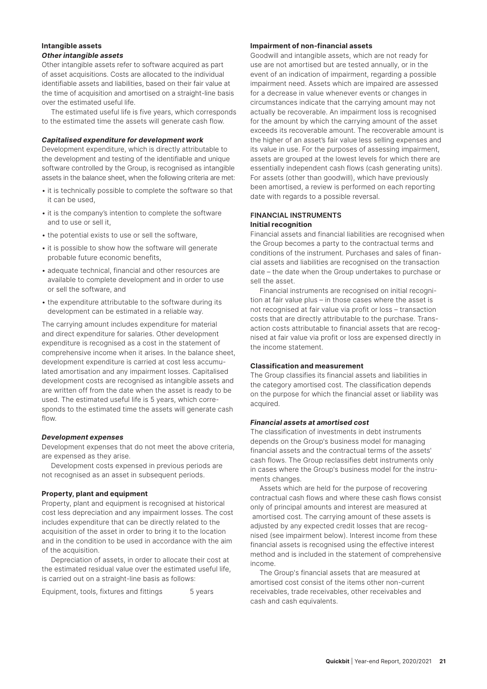#### **Intangible assets** *Other intangible assets*

Other intangible assets refer to software acquired as part of asset acquisitions. Costs are allocated to the individual identifiable assets and liabilities, based on their fair value at the time of acquisition and amortised on a straight-line basis over the estimated useful life.

The estimated useful life is five years, which corresponds to the estimated time the assets will generate cash flow.

#### *Capitalised expenditure for development work*

Development expenditure, which is directly attributable to the development and testing of the identifiable and unique software controlled by the Group, is recognised as intangible assets in the balance sheet, when the following criteria are met:

- it is technically possible to complete the software so that it can be used,
- it is the company's intention to complete the software and to use or sell it,
- the potential exists to use or sell the software,
- it is possible to show how the software will generate probable future economic benefits,
- adequate technical, financial and other resources are available to complete development and in order to use or sell the software, and
- the expenditure attributable to the software during its development can be estimated in a reliable way.

The carrying amount includes expenditure for material and direct expenditure for salaries. Other development expenditure is recognised as a cost in the statement of comprehensive income when it arises. In the balance sheet, development expenditure is carried at cost less accumulated amortisation and any impairment losses. Capitalised development costs are recognised as intangible assets and are written off from the date when the asset is ready to be used. The estimated useful life is 5 years, which corresponds to the estimated time the assets will generate cash flow

#### *Development expenses*

Development expenses that do not meet the above criteria, are expensed as they arise.

Development costs expensed in previous periods are not recognised as an asset in subsequent periods.

#### **Property, plant and equipment**

Property, plant and equipment is recognised at historical cost less depreciation and any impairment losses. The cost includes expenditure that can be directly related to the acquisition of the asset in order to bring it to the location and in the condition to be used in accordance with the aim of the acquisition.

Depreciation of assets, in order to allocate their cost at the estimated residual value over the estimated useful life, is carried out on a straight-line basis as follows:

Equipment, tools, fixtures and fittings 5 years

#### **Impairment of non-financial assets**

Goodwill and intangible assets, which are not ready for use are not amortised but are tested annually, or in the event of an indication of impairment, regarding a possible impairment need. Assets which are impaired are assessed for a decrease in value whenever events or changes in circumstances indicate that the carrying amount may not actually be recoverable. An impairment loss is recognised for the amount by which the carrying amount of the asset exceeds its recoverable amount. The recoverable amount is the higher of an asset's fair value less selling expenses and its value in use. For the purposes of assessing impairment, assets are grouped at the lowest levels for which there are essentially independent cash flows (cash generating units). For assets (other than goodwill), which have previously been amortised, a review is performed on each reporting date with regards to a possible reversal.

#### **FINANCIAL INSTRUMENTS Initial recognition**

Financial assets and financial liabilities are recognised when the Group becomes a party to the contractual terms and conditions of the instrument. Purchases and sales of financial assets and liabilities are recognised on the transaction date – the date when the Group undertakes to purchase or sell the asset.

Financial instruments are recognised on initial recognition at fair value plus – in those cases where the asset is not recognised at fair value via profit or loss – transaction costs that are directly attributable to the purchase. Transaction costs attributable to financial assets that are recognised at fair value via profit or loss are expensed directly in the income statement.

#### **Classification and measurement**

The Group classifies its financial assets and liabilities in the category amortised cost. The classification depends on the purpose for which the financial asset or liability was acquired.

#### *Financial assets at amortised cost*

The classification of investments in debt instruments depends on the Group's business model for managing financial assets and the contractual terms of the assets' cash flows. The Group reclassifies debt instruments only in cases where the Group's business model for the instruments changes.

Assets which are held for the purpose of recovering contractual cash flows and where these cash flows consist only of principal amounts and interest are measured at amortised cost. The carrying amount of these assets is adjusted by any expected credit losses that are recognised (see impairment below). Interest income from these financial assets is recognised using the effective interest method and is included in the statement of comprehensive income.

The Group's financial assets that are measured at amortised cost consist of the items other non-current receivables, trade receivables, other receivables and cash and cash equivalents.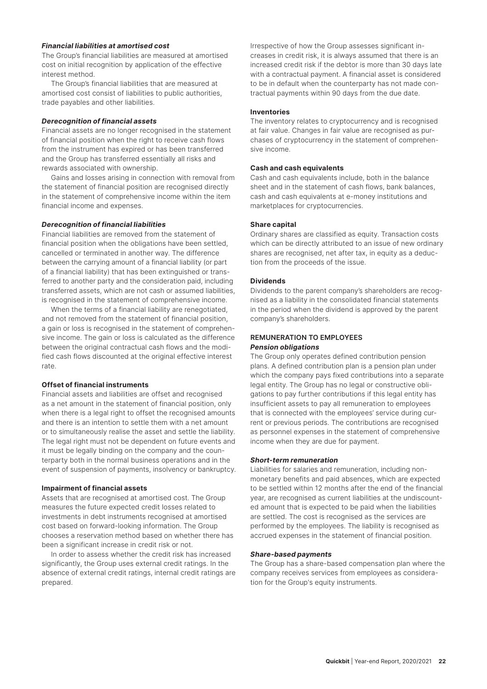#### *Financial liabilities at amortised cost*

The Group's financial liabilities are measured at amortised cost on initial recognition by application of the effective interest method.

The Group's financial liabilities that are measured at amortised cost consist of liabilities to public authorities, trade payables and other liabilities.

#### *Derecognition of financial assets*

Financial assets are no longer recognised in the statement of financial position when the right to receive cash flows from the instrument has expired or has been transferred and the Group has transferred essentially all risks and rewards associated with ownership.

Gains and losses arising in connection with removal from the statement of financial position are recognised directly in the statement of comprehensive income within the item financial income and expenses.

#### *Derecognition of financial liabilities*

Financial liabilities are removed from the statement of financial position when the obligations have been settled, cancelled or terminated in another way. The difference between the carrying amount of a financial liability (or part of a financial liability) that has been extinguished or transferred to another party and the consideration paid, including transferred assets, which are not cash or assumed liabilities, is recognised in the statement of comprehensive income.

When the terms of a financial liability are renegotiated, and not removed from the statement of financial position, a gain or loss is recognised in the statement of comprehensive income. The gain or loss is calculated as the difference between the original contractual cash flows and the modified cash flows discounted at the original effective interest rate.

#### **Offset of financial instruments**

Financial assets and liabilities are offset and recognised as a net amount in the statement of financial position, only when there is a legal right to offset the recognised amounts and there is an intention to settle them with a net amount or to simultaneously realise the asset and settle the liability. The legal right must not be dependent on future events and it must be legally binding on the company and the counterparty both in the normal business operations and in the event of suspension of payments, insolvency or bankruptcy.

#### **Impairment of financial assets**

Assets that are recognised at amortised cost. The Group measures the future expected credit losses related to investments in debt instruments recognised at amortised cost based on forward-looking information. The Group chooses a reservation method based on whether there has been a significant increase in credit risk or not.

In order to assess whether the credit risk has increased significantly, the Group uses external credit ratings. In the absence of external credit ratings, internal credit ratings are prepared.

Irrespective of how the Group assesses significant increases in credit risk, it is always assumed that there is an increased credit risk if the debtor is more than 30 days late with a contractual payment. A financial asset is considered to be in default when the counterparty has not made contractual payments within 90 days from the due date.

#### **Inventories**

The inventory relates to cryptocurrency and is recognised at fair value. Changes in fair value are recognised as purchases of cryptocurrency in the statement of comprehensive income.

#### **Cash and cash equivalents**

Cash and cash equivalents include, both in the balance sheet and in the statement of cash flows, bank balances, cash and cash equivalents at e-money institutions and marketplaces for cryptocurrencies.

#### **Share capital**

Ordinary shares are classified as equity. Transaction costs which can be directly attributed to an issue of new ordinary shares are recognised, net after tax, in equity as a deduction from the proceeds of the issue.

#### **Dividends**

Dividends to the parent company's shareholders are recognised as a liability in the consolidated financial statements in the period when the dividend is approved by the parent company's shareholders.

#### **REMUNERATION TO EMPLOYEES** *Pension obligations*

The Group only operates defined contribution pension plans. A defined contribution plan is a pension plan under which the company pays fixed contributions into a separate legal entity. The Group has no legal or constructive obligations to pay further contributions if this legal entity has insufficient assets to pay all remuneration to employees that is connected with the employees' service during current or previous periods. The contributions are recognised as personnel expenses in the statement of comprehensive income when they are due for payment.

#### *Short-term remuneration*

Liabilities for salaries and remuneration, including nonmonetary benefits and paid absences, which are expected to be settled within 12 months after the end of the financial year, are recognised as current liabilities at the undiscounted amount that is expected to be paid when the liabilities are settled. The cost is recognised as the services are performed by the employees. The liability is recognised as accrued expenses in the statement of financial position.

#### *Share-based payments*

The Group has a share-based compensation plan where the company receives services from employees as consideration for the Group's equity instruments.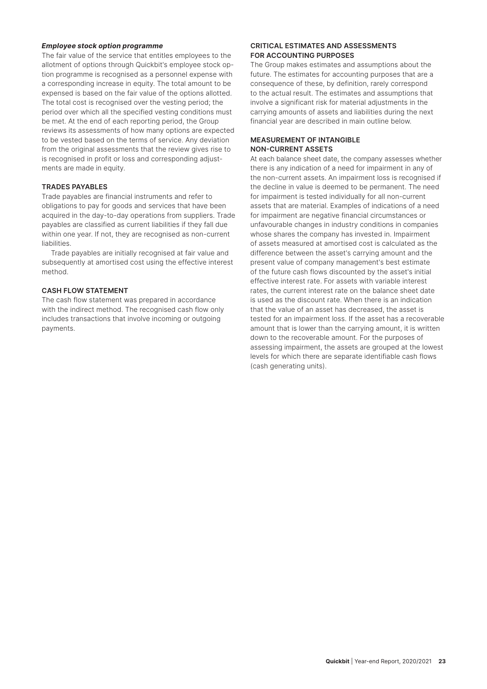#### *Employee stock option programme*

The fair value of the service that entitles employees to the allotment of options through Quickbit's employee stock option programme is recognised as a personnel expense with a corresponding increase in equity. The total amount to be expensed is based on the fair value of the options allotted. The total cost is recognised over the vesting period; the period over which all the specified vesting conditions must be met. At the end of each reporting period, the Group reviews its assessments of how many options are expected to be vested based on the terms of service. Any deviation from the original assessments that the review gives rise to is recognised in profit or loss and corresponding adjustments are made in equity.

#### **TRADES PAYABLES**

Trade payables are financial instruments and refer to obligations to pay for goods and services that have been acquired in the day-to-day operations from suppliers. Trade payables are classified as current liabilities if they fall due within one year. If not, they are recognised as non-current liabilities.

Trade payables are initially recognised at fair value and subsequently at amortised cost using the effective interest method.

#### **CASH FLOW STATEMENT**

The cash flow statement was prepared in accordance with the indirect method. The recognised cash flow only includes transactions that involve incoming or outgoing payments.

#### **CRITICAL ESTIMATES AND ASSESSMENTS FOR ACCOUNTING PURPOSES**

The Group makes estimates and assumptions about the future. The estimates for accounting purposes that are a consequence of these, by definition, rarely correspond to the actual result. The estimates and assumptions that involve a significant risk for material adjustments in the carrying amounts of assets and liabilities during the next financial year are described in main outline below.

#### **MEASUREMENT OF INTANGIBLE NON-CURRENT ASSETS**

At each balance sheet date, the company assesses whether there is any indication of a need for impairment in any of the non-current assets. An impairment loss is recognised if the decline in value is deemed to be permanent. The need for impairment is tested individually for all non-current assets that are material. Examples of indications of a need for impairment are negative financial circumstances or unfavourable changes in industry conditions in companies whose shares the company has invested in. Impairment of assets measured at amortised cost is calculated as the difference between the asset's carrying amount and the present value of company management's best estimate of the future cash flows discounted by the asset's initial effective interest rate. For assets with variable interest rates, the current interest rate on the balance sheet date is used as the discount rate. When there is an indication that the value of an asset has decreased, the asset is tested for an impairment loss. If the asset has a recoverable amount that is lower than the carrying amount, it is written down to the recoverable amount. For the purposes of assessing impairment, the assets are grouped at the lowest levels for which there are separate identifiable cash flows (cash generating units).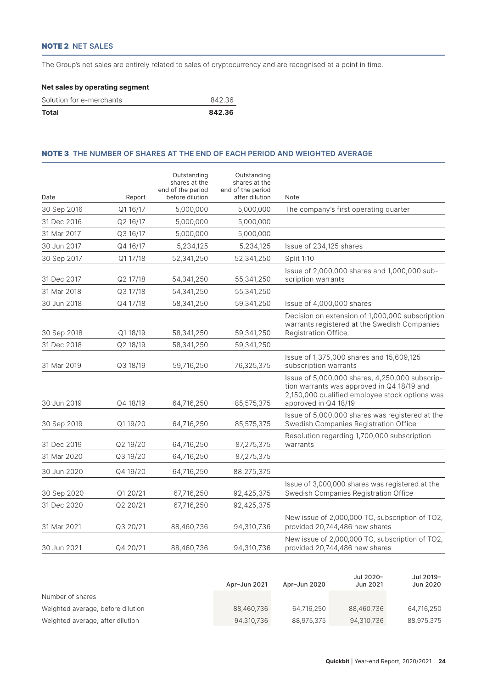#### NOTE 2 **NET SALES**

The Group's net sales are entirely related to sales of cryptocurrency and are recognised at a point in time.

#### **Net sales by operating segment**

| 842.36 |
|--------|
| 842.36 |
|        |

#### NOTE 3 **THE NUMBER OF SHARES AT THE END OF EACH PERIOD AND WEIGHTED AVERAGE**

| Date        | Report   | Outstanding<br>shares at the<br>end of the period<br>before dilution | Outstanding<br>shares at the<br>end of the period<br>after dilution | Note                                                                                                                                                                   |
|-------------|----------|----------------------------------------------------------------------|---------------------------------------------------------------------|------------------------------------------------------------------------------------------------------------------------------------------------------------------------|
| 30 Sep 2016 | Q1 16/17 | 5,000,000                                                            | 5,000,000                                                           | The company's first operating quarter                                                                                                                                  |
| 31 Dec 2016 | Q2 16/17 | 5,000,000                                                            | 5,000,000                                                           |                                                                                                                                                                        |
| 31 Mar 2017 | Q3 16/17 | 5,000,000                                                            | 5,000,000                                                           |                                                                                                                                                                        |
| 30 Jun 2017 | Q4 16/17 | 5,234,125                                                            | 5,234,125                                                           | Issue of 234,125 shares                                                                                                                                                |
| 30 Sep 2017 | Q1 17/18 | 52,341,250                                                           | 52,341,250                                                          | Split 1:10                                                                                                                                                             |
| 31 Dec 2017 | Q2 17/18 | 54,341,250                                                           | 55,341,250                                                          | Issue of 2,000,000 shares and 1,000,000 sub-<br>scription warrants                                                                                                     |
| 31 Mar 2018 | Q3 17/18 | 54,341,250                                                           | 55,341,250                                                          |                                                                                                                                                                        |
| 30 Jun 2018 | Q4 17/18 | 58,341,250                                                           | 59,341,250                                                          | Issue of 4,000,000 shares                                                                                                                                              |
| 30 Sep 2018 | Q1 18/19 | 58,341,250                                                           | 59,341,250                                                          | Decision on extension of 1,000,000 subscription<br>warrants registered at the Swedish Companies<br>Registration Office.                                                |
| 31 Dec 2018 | Q2 18/19 | 58,341,250                                                           | 59,341,250                                                          |                                                                                                                                                                        |
| 31 Mar 2019 | Q3 18/19 | 59,716,250                                                           | 76,325,375                                                          | Issue of 1,375,000 shares and 15,609,125<br>subscription warrants                                                                                                      |
| 30 Jun 2019 | Q4 18/19 | 64,716,250                                                           | 85,575,375                                                          | Issue of 5,000,000 shares, 4,250,000 subscrip-<br>tion warrants was approved in Q4 18/19 and<br>2,150,000 qualified employee stock options was<br>approved in Q4 18/19 |
| 30 Sep 2019 | Q1 19/20 | 64,716,250                                                           | 85,575,375                                                          | Issue of 5,000,000 shares was registered at the<br>Swedish Companies Registration Office                                                                               |
| 31 Dec 2019 | Q2 19/20 | 64,716,250                                                           | 87,275,375                                                          | Resolution regarding 1,700,000 subscription<br>warrants                                                                                                                |
| 31 Mar 2020 | Q3 19/20 | 64,716,250                                                           | 87,275,375                                                          |                                                                                                                                                                        |
| 30 Jun 2020 | Q4 19/20 | 64,716,250                                                           | 88,275,375                                                          |                                                                                                                                                                        |
| 30 Sep 2020 | Q1 20/21 | 67,716,250                                                           | 92,425,375                                                          | Issue of 3,000,000 shares was registered at the<br>Swedish Companies Registration Office                                                                               |
| 31 Dec 2020 | Q2 20/21 | 67,716,250                                                           | 92,425,375                                                          |                                                                                                                                                                        |
| 31 Mar 2021 | Q3 20/21 | 88,460,736                                                           | 94,310,736                                                          | New issue of 2,000,000 TO, subscription of TO2,<br>provided 20,744,486 new shares                                                                                      |
| 30 Jun 2021 | Q4 20/21 | 88,460,736                                                           | 94,310,736                                                          | New issue of 2,000,000 TO, subscription of TO2,<br>provided 20,744,486 new shares                                                                                      |

|                                   | Apr-Jun 2021 | Apr-Jun 2020 | Jul 2020-<br>Jun 2021 | Jul 2019-<br>Jun 2020 |
|-----------------------------------|--------------|--------------|-----------------------|-----------------------|
| Number of shares                  |              |              |                       |                       |
| Weighted average, before dilution | 88,460,736   | 64.716.250   | 88,460,736            | 64,716,250            |
| Weighted average, after dilution  | 94,310,736   | 88.975.375   | 94,310,736            | 88,975,375            |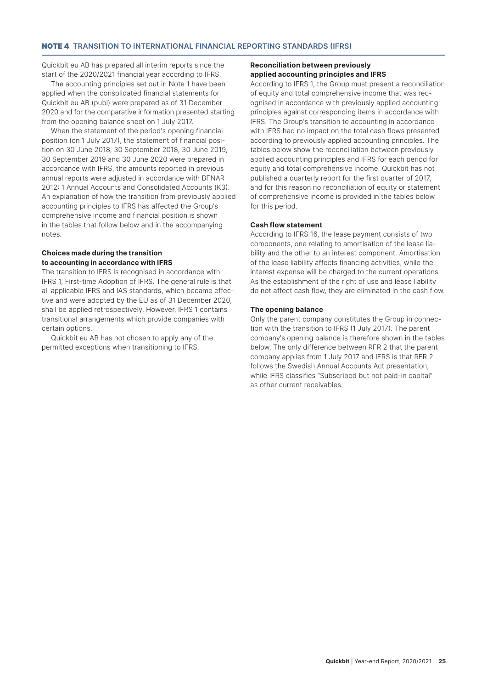Quickbit eu AB has prepared all interim reports since the start of the 2020/2021 financial year according to IFRS.

The accounting principles set out in Note 1 have been applied when the consolidated financial statements for Quickbit eu AB (publ) were prepared as of 31 December 2020 and for the comparative information presented starting from the opening balance sheet on 1 July 2017.

When the statement of the period's opening financial position (on 1 July 2017), the statement of financial position on 30 June 2018, 30 September 2018, 30 June 2019, 30 September 2019 and 30 June 2020 were prepared in accordance with IFRS, the amounts reported in previous annual reports were adjusted in accordance with BFNAR 2012: 1 Annual Accounts and Consolidated Accounts (K3). An explanation of how the transition from previously applied accounting principles to IFRS has affected the Group's comprehensive income and financial position is shown in the tables that follow below and in the accompanying notes.

#### **Choices made during the transition to accounting in accordance with IFRS**

The transition to IFRS is recognised in accordance with IFRS 1, First-time Adoption of IFRS. The general rule is that all applicable IFRS and IAS standards, which became effective and were adopted by the EU as of 31 December 2020, shall be applied retrospectively. However, IFRS 1 contains transitional arrangements which provide companies with certain options.

Quickbit eu AB has not chosen to apply any of the permitted exceptions when transitioning to IFRS.

#### **Reconciliation between previously applied accounting principles and IFRS**

According to IFRS 1, the Group must present a reconciliation of equity and total comprehensive income that was recognised in accordance with previously applied accounting principles against corresponding items in accordance with IFRS. The Group's transition to accounting in accordance with IFRS had no impact on the total cash flows presented according to previously applied accounting principles. The tables below show the reconciliation between previously applied accounting principles and IFRS for each period for equity and total comprehensive income. Quickbit has not published a quarterly report for the first quarter of 2017, and for this reason no reconciliation of equity or statement of comprehensive income is provided in the tables below for this period.

#### **Cash flow statement**

According to IFRS 16, the lease payment consists of two components, one relating to amortisation of the lease liability and the other to an interest component. Amortisation of the lease liability affects financing activities, while the interest expense will be charged to the current operations. As the establishment of the right of use and lease liability do not affect cash flow, they are eliminated in the cash flow.

#### **The opening balance**

Only the parent company constitutes the Group in connection with the transition to IFRS (1 July 2017). The parent company's opening balance is therefore shown in the tables below. The only difference between RFR 2 that the parent company applies from 1 July 2017 and IFRS is that RFR 2 follows the Swedish Annual Accounts Act presentation, while IFRS classifies "Subscribed but not paid-in capital" as other current receivables.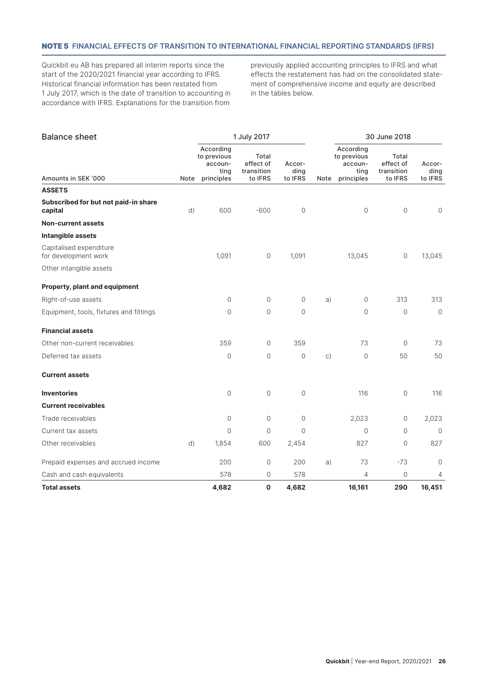#### NOTE 5 **FINANCIAL EFFECTS OF TRANSITION TO INTERNATIONAL FINANCIAL REPORTING STANDARDS (IFRS)**

Quickbit eu AB has prepared all interim reports since the start of the 2020/2021 financial year according to IFRS. Historical financial information has been restated from 1 July 2017, which is the date of transition to accounting in accordance with IFRS. Explanations for the transition from

previously applied accounting principles to IFRS and what effects the restatement has had on the consolidated statement of comprehensive income and equity are described in the tables below.

| <b>Balance sheet</b>                            |      | 1 July 2017                                               |                                             |                           |           | 30 June 2018                                              |                                             |                           |
|-------------------------------------------------|------|-----------------------------------------------------------|---------------------------------------------|---------------------------|-----------|-----------------------------------------------------------|---------------------------------------------|---------------------------|
| Amounts in SEK '000                             | Note | According<br>to previous<br>accoun-<br>ting<br>principles | Total<br>effect of<br>transition<br>to IFRS | Accor-<br>ding<br>to IFRS | Note      | According<br>to previous<br>accoun-<br>ting<br>principles | Total<br>effect of<br>transition<br>to IFRS | Accor-<br>ding<br>to IFRS |
| <b>ASSETS</b>                                   |      |                                                           |                                             |                           |           |                                                           |                                             |                           |
| Subscribed for but not paid-in share<br>capital | d)   | 600                                                       | $-600$                                      | $\mathbf 0$               |           | 0                                                         | 0                                           | $\circ$                   |
| <b>Non-current assets</b>                       |      |                                                           |                                             |                           |           |                                                           |                                             |                           |
| Intangible assets                               |      |                                                           |                                             |                           |           |                                                           |                                             |                           |
| Capitalised expenditure<br>for development work |      | 1,091                                                     | 0                                           | 1,091                     |           | 13,045                                                    | 0                                           | 13,045                    |
| Other intangible assets                         |      |                                                           |                                             |                           |           |                                                           |                                             |                           |
| Property, plant and equipment                   |      |                                                           |                                             |                           |           |                                                           |                                             |                           |
| Right-of-use assets                             |      | $\circ$                                                   | 0                                           | $\circ$                   | a)        | 0                                                         | 313                                         | 313                       |
| Equipment, tools, fixtures and fittings         |      | $\Omega$                                                  | 0                                           | $\Omega$                  |           | $\Omega$                                                  | 0                                           | $\circ$                   |
| <b>Financial assets</b>                         |      |                                                           |                                             |                           |           |                                                           |                                             |                           |
| Other non-current receivables                   |      | 359                                                       | 0                                           | 359                       |           | 73                                                        | $\overline{0}$                              | 73                        |
| Deferred tax assets                             |      | $\circ$                                                   | 0                                           | $\circ$                   | $\circ$ ) | $\mathbf 0$                                               | 50                                          | 50                        |
| <b>Current assets</b>                           |      |                                                           |                                             |                           |           |                                                           |                                             |                           |
| <b>Inventories</b>                              |      | $\circ$                                                   | 0                                           | $\mathbf{0}$              |           | 116                                                       | 0                                           | 116                       |
| <b>Current receivables</b>                      |      |                                                           |                                             |                           |           |                                                           |                                             |                           |
| Trade receivables                               |      | $\mathcal{O}$                                             | 0                                           | $\mathbf 0$               |           | 2,023                                                     | 0                                           | 2,023                     |
| Current tax assets                              |      | $\Omega$                                                  | $\overline{0}$                              | $\overline{O}$            |           | $\overline{O}$                                            | $\overline{0}$                              | $\circ$                   |
| Other receivables                               | d)   | 1,854                                                     | 600                                         | 2,454                     |           | 827                                                       | $\Omega$                                    | 827                       |
| Prepaid expenses and accrued income             |      | 200                                                       | 0                                           | 200                       | a)        | 73                                                        | $-73$                                       | $\circ$                   |
| Cash and cash equivalents                       |      | 578                                                       | 0                                           | 578                       |           | 4                                                         | 0                                           | $\overline{4}$            |
| <b>Total assets</b>                             |      | 4,682                                                     | $\mathbf{o}$                                | 4,682                     |           | 16,161                                                    | 290                                         | 16,451                    |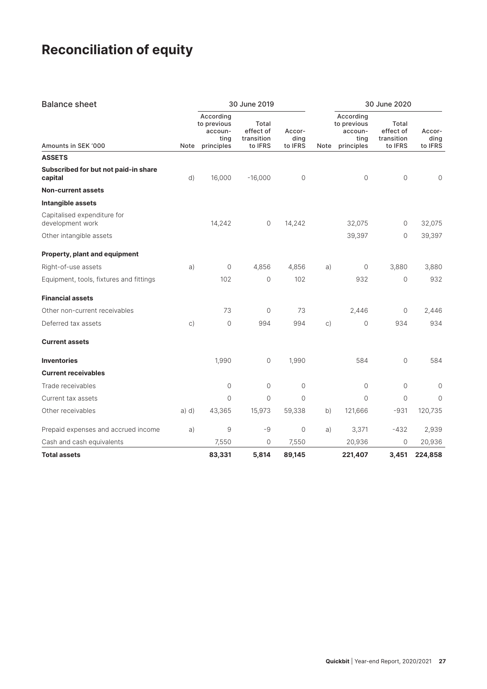## **Reconciliation of equity**

| <b>Balance sheet</b>                            |           | 30 June 2019                                              |                                             |                           |           | 30 June 2020                                              |                                             |                           |
|-------------------------------------------------|-----------|-----------------------------------------------------------|---------------------------------------------|---------------------------|-----------|-----------------------------------------------------------|---------------------------------------------|---------------------------|
| Amounts in SEK '000                             | Note      | According<br>to previous<br>accoun-<br>ting<br>principles | Total<br>effect of<br>transition<br>to IFRS | Accor-<br>ding<br>to IFRS | Note      | According<br>to previous<br>accoun-<br>ting<br>principles | Total<br>effect of<br>transition<br>to IFRS | Accor-<br>ding<br>to IFRS |
| <b>ASSETS</b>                                   |           |                                                           |                                             |                           |           |                                                           |                                             |                           |
| Subscribed for but not paid-in share<br>capital | d)        | 16,000                                                    | $-16,000$                                   | $\mathbf 0$               |           | 0                                                         | $\mathsf{O}\xspace$                         | $\circ$                   |
| <b>Non-current assets</b>                       |           |                                                           |                                             |                           |           |                                                           |                                             |                           |
| Intangible assets                               |           |                                                           |                                             |                           |           |                                                           |                                             |                           |
| Capitalised expenditure for<br>development work |           | 14,242                                                    | 0                                           | 14,242                    |           | 32,075                                                    | 0                                           | 32,075                    |
| Other intangible assets                         |           |                                                           |                                             |                           |           | 39,397                                                    | $\circ$                                     | 39,397                    |
| Property, plant and equipment                   |           |                                                           |                                             |                           |           |                                                           |                                             |                           |
| Right-of-use assets                             | a)        | $\circ$                                                   | 4,856                                       | 4,856                     | a)        | 0                                                         | 3,880                                       | 3,880                     |
| Equipment, tools, fixtures and fittings         |           | 102                                                       | 0                                           | 102                       |           | 932                                                       | 0                                           | 932                       |
| <b>Financial assets</b>                         |           |                                                           |                                             |                           |           |                                                           |                                             |                           |
| Other non-current receivables                   |           | 73                                                        | 0                                           | 73                        |           | 2,446                                                     | $\mathbf 0$                                 | 2,446                     |
| Deferred tax assets                             | $\circ$ ) | $\circ$                                                   | 994                                         | 994                       | $\circ$ ) | $\circ$                                                   | 934                                         | 934                       |
| <b>Current assets</b>                           |           |                                                           |                                             |                           |           |                                                           |                                             |                           |
| <b>Inventories</b>                              |           | 1,990                                                     | 0                                           | 1,990                     |           | 584                                                       | 0                                           | 584                       |
| <b>Current receivables</b>                      |           |                                                           |                                             |                           |           |                                                           |                                             |                           |
| Trade receivables                               |           | $\circ$                                                   | 0                                           | $\mathbf 0$               |           | 0                                                         | $\mathbf{0}$                                | 0                         |
| Current tax assets                              |           | $\Omega$                                                  | 0                                           | $\mathbf 0$               |           | 0                                                         | $\mathbf{0}$                                | $\Omega$                  |
| Other receivables                               | a) d)     | 43,365                                                    | 15,973                                      | 59,338                    | b)        | 121,666                                                   | $-931$                                      | 120,735                   |
| Prepaid expenses and accrued income             | a)        | 9                                                         | -9                                          | $\mathbf 0$               | a)        | 3,371                                                     | $-432$                                      | 2,939                     |
| Cash and cash equivalents                       |           | 7,550                                                     | 0                                           | 7,550                     |           | 20,936                                                    | 0                                           | 20,936                    |
| Total assets                                    |           | 83,331                                                    | 5,814                                       | 89,145                    |           | 221,407                                                   | 3,451                                       | 224,858                   |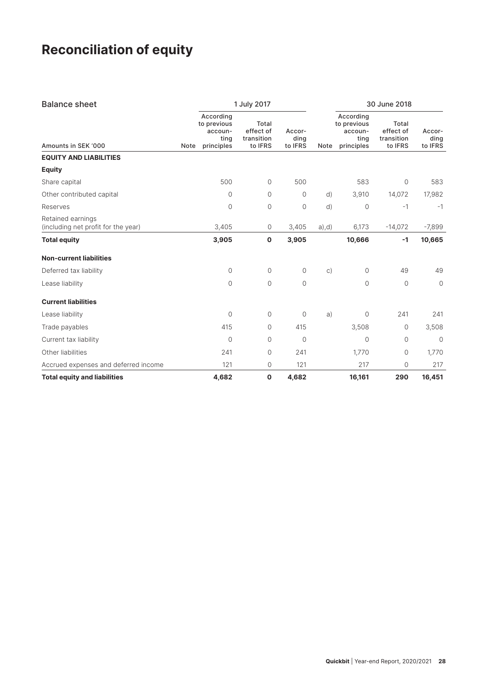## **Reconciliation of equity**

| <b>Balance sheet</b>                                     |      | 1 July 2017                                               |                                             |                           |           | 30 June 2018                                              |                                             |                           |
|----------------------------------------------------------|------|-----------------------------------------------------------|---------------------------------------------|---------------------------|-----------|-----------------------------------------------------------|---------------------------------------------|---------------------------|
| Amounts in SEK '000                                      | Note | According<br>to previous<br>accoun-<br>ting<br>principles | Total<br>effect of<br>transition<br>to IFRS | Accor-<br>ding<br>to IFRS | Note      | According<br>to previous<br>accoun-<br>ting<br>principles | Total<br>effect of<br>transition<br>to IFRS | Accor-<br>ding<br>to IFRS |
| <b>EQUITY AND LIABILITIES</b>                            |      |                                                           |                                             |                           |           |                                                           |                                             |                           |
| <b>Equity</b>                                            |      |                                                           |                                             |                           |           |                                                           |                                             |                           |
| Share capital                                            |      | 500                                                       | 0                                           | 500                       |           | 583                                                       | $\circ$                                     | 583                       |
| Other contributed capital                                |      | 0                                                         | 0                                           | $\Omega$                  | d)        | 3,910                                                     | 14,072                                      | 17,982                    |
| Reserves                                                 |      | 0                                                         | 0                                           | 0                         | d)        | $\mathbf{0}$                                              | $-1$                                        | $-1$                      |
| Retained earnings<br>(including net profit for the year) |      | 3,405                                                     | 0                                           | 3,405                     | $a)$ ,d)  | 6,173                                                     | $-14,072$                                   | $-7,899$                  |
| <b>Total equity</b>                                      |      | 3,905                                                     | 0                                           | 3,905                     |           | 10,666                                                    | $-1$                                        | 10,665                    |
| <b>Non-current liabilities</b>                           |      |                                                           |                                             |                           |           |                                                           |                                             |                           |
| Deferred tax liability                                   |      | 0                                                         | 0                                           | $\circ$                   | $\circ$ ) | 0                                                         | 49                                          | 49                        |
| Lease liability                                          |      | $\mathbf 0$                                               | $\mathbf 0$                                 | $\mathbf{0}$              |           | $\mathbf 0$                                               | $\overline{O}$                              | $\circ$                   |
| <b>Current liabilities</b>                               |      |                                                           |                                             |                           |           |                                                           |                                             |                           |
| Lease liability                                          |      | $\Omega$                                                  | $\overline{0}$                              | $\Omega$                  | a)        | $\mathbf{0}$                                              | 241                                         | 241                       |
| Trade payables                                           |      | 415                                                       | 0                                           | 415                       |           | 3,508                                                     | $\circ$                                     | 3,508                     |
| Current tax liability                                    |      | 0                                                         | 0                                           | 0                         |           | 0                                                         | 0                                           | 0                         |
| Other liabilities                                        |      | 241                                                       | 0                                           | 241                       |           | 1,770                                                     | 0                                           | 1,770                     |
| Accrued expenses and deferred income                     |      | 121                                                       | 0                                           | 121                       |           | 217                                                       | 0                                           | 217                       |
| <b>Total equity and liabilities</b>                      |      | 4,682                                                     | 0                                           | 4,682                     |           | 16,161                                                    | 290                                         | 16,451                    |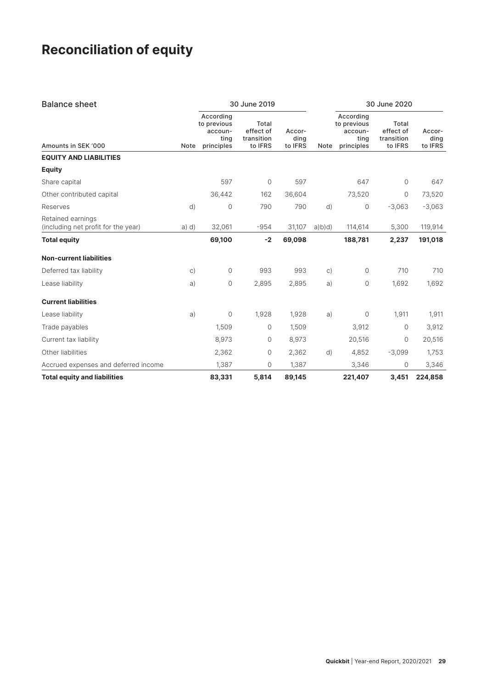## **Reconciliation of equity**

| <b>Balance sheet</b>                                     |           | 30 June 2019                                              |                                             |                           |       | 30 June 2020                                              |                                             |                           |
|----------------------------------------------------------|-----------|-----------------------------------------------------------|---------------------------------------------|---------------------------|-------|-----------------------------------------------------------|---------------------------------------------|---------------------------|
| Amounts in SEK '000                                      | Note      | According<br>to previous<br>accoun-<br>ting<br>principles | Total<br>effect of<br>transition<br>to IFRS | Accor-<br>ding<br>to IFRS | Note  | According<br>to previous<br>accoun-<br>ting<br>principles | Total<br>effect of<br>transition<br>to IFRS | Accor-<br>ding<br>to IFRS |
| <b>EQUITY AND LIABILITIES</b>                            |           |                                                           |                                             |                           |       |                                                           |                                             |                           |
| <b>Equity</b>                                            |           |                                                           |                                             |                           |       |                                                           |                                             |                           |
| Share capital                                            |           | 597                                                       | $\mathbf 0$                                 | 597                       |       | 647                                                       | $\circ$                                     | 647                       |
| Other contributed capital                                |           | 36,442                                                    | 162                                         | 36,604                    |       | 73,520                                                    | 0                                           | 73,520                    |
| Reserves                                                 | d)        | 0                                                         | 790                                         | 790                       | d)    | 0                                                         | $-3,063$                                    | $-3,063$                  |
| Retained earnings<br>(including net profit for the year) | a) d)     | 32,061                                                    | $-954$                                      | 31,107                    | a(b)d | 114,614                                                   | 5,300                                       | 119,914                   |
| <b>Total equity</b>                                      |           | 69,100                                                    | $-2$                                        | 69,098                    |       | 188,781                                                   | 2,237                                       | 191,018                   |
| <b>Non-current liabilities</b>                           |           |                                                           |                                             |                           |       |                                                           |                                             |                           |
| Deferred tax liability                                   | $\circ$ ) | 0                                                         | 993                                         | 993                       | C)    | 0                                                         | 710                                         | 710                       |
| Lease liability                                          | a)        | 0                                                         | 2,895                                       | 2,895                     | a)    | $\circ$                                                   | 1,692                                       | 1,692                     |
| <b>Current liabilities</b>                               |           |                                                           |                                             |                           |       |                                                           |                                             |                           |
| Lease liability                                          | a)        | $\Omega$                                                  | 1,928                                       | 1,928                     | a)    | $\mathbf 0$                                               | 1,911                                       | 1,911                     |
| Trade payables                                           |           | 1,509                                                     | 0                                           | 1,509                     |       | 3,912                                                     | $\circ$                                     | 3,912                     |
| Current tax liability                                    |           | 8,973                                                     | 0                                           | 8,973                     |       | 20,516                                                    | 0                                           | 20,516                    |
| Other liabilities                                        |           | 2,362                                                     | 0                                           | 2,362                     | d)    | 4,852                                                     | $-3,099$                                    | 1,753                     |
| Accrued expenses and deferred income                     |           | 1,387                                                     | 0                                           | 1,387                     |       | 3,346                                                     | 0                                           | 3,346                     |
| <b>Total equity and liabilities</b>                      |           | 83,331                                                    | 5,814                                       | 89,145                    |       | 221,407                                                   | 3,451                                       | 224,858                   |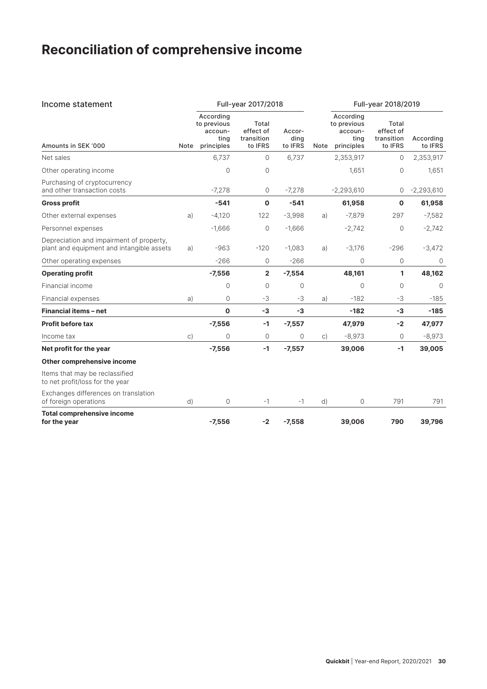## **Reconciliation of comprehensive income**

| Income statement                                                                      |           |                                                           | Full-year 2017/2018                         |                           |           | Full-year 2018/2019                                       |                                             |                      |
|---------------------------------------------------------------------------------------|-----------|-----------------------------------------------------------|---------------------------------------------|---------------------------|-----------|-----------------------------------------------------------|---------------------------------------------|----------------------|
| Amounts in SEK '000                                                                   | Note      | According<br>to previous<br>accoun-<br>ting<br>principles | Total<br>effect of<br>transition<br>to IFRS | Accor-<br>ding<br>to IFRS | Note      | According<br>to previous<br>accoun-<br>ting<br>principles | Total<br>effect of<br>transition<br>to IFRS | According<br>to IFRS |
| Net sales                                                                             |           | 6,737                                                     | $\Omega$                                    | 6,737                     |           | 2,353,917                                                 | 0                                           | 2,353,917            |
| Other operating income                                                                |           | $\mathbf 0$                                               | $\mathbf 0$                                 |                           |           | 1,651                                                     | 0                                           | 1,651                |
| Purchasing of cryptocurrency<br>and other transaction costs                           |           | $-7,278$                                                  | $\circ$                                     | $-7,278$                  |           | $-2,293,610$                                              | 0                                           | $-2,293,610$         |
| <b>Gross profit</b>                                                                   |           | $-541$                                                    | $\mathbf{o}$                                | $-541$                    |           | 61,958                                                    | $\mathbf 0$                                 | 61,958               |
| Other external expenses                                                               | a)        | $-4,120$                                                  | 122                                         | $-3,998$                  | a)        | $-7,879$                                                  | 297                                         | $-7,582$             |
| Personnel expenses                                                                    |           | $-1,666$                                                  | $\circ$                                     | $-1,666$                  |           | $-2,742$                                                  | 0                                           | $-2,742$             |
| Depreciation and impairment of property,<br>plant and equipment and intangible assets | a)        | $-963$                                                    | $-120$                                      | $-1,083$                  | a)        | $-3,176$                                                  | $-296$                                      | $-3,472$             |
| Other operating expenses                                                              |           | $-266$                                                    | $\circ$                                     | $-266$                    |           | $\circ$                                                   | $\mathbf{0}$                                | $\circ$              |
| <b>Operating profit</b>                                                               |           | $-7,556$                                                  | $\overline{2}$                              | $-7,554$                  |           | 48,161                                                    | 1                                           | 48,162               |
| Financial income                                                                      |           | $\overline{0}$                                            | $\mathbf{0}$                                | $\mathbf 0$               |           | $\circ$                                                   | 0                                           | $\mathbf{0}$         |
| Financial expenses                                                                    | a)        | $\Omega$                                                  | $-3$                                        | $-3$                      | a)        | $-182$                                                    | -3                                          | $-185$               |
| Financial items - net                                                                 |           | 0                                                         | $-3$                                        | $-3$                      |           | $-182$                                                    | $-3$                                        | $-185$               |
| <b>Profit before tax</b>                                                              |           | $-7,556$                                                  | $-1$                                        | $-7,557$                  |           | 47,979                                                    | $-2$                                        | 47,977               |
| Income tax                                                                            | $\circ$ ) | 0                                                         | $\circ$                                     | 0                         | $\circ$ ) | $-8,973$                                                  | 0                                           | $-8,973$             |
| Net profit for the year                                                               |           | $-7,556$                                                  | $-1$                                        | $-7,557$                  |           | 39,006                                                    | $-1$                                        | 39,005               |
| Other comprehensive income                                                            |           |                                                           |                                             |                           |           |                                                           |                                             |                      |
| Items that may be reclassified<br>to net profit/loss for the year                     |           |                                                           |                                             |                           |           |                                                           |                                             |                      |
| Exchanges differences on translation<br>of foreign operations                         | d)        | $\Omega$                                                  | $-1$                                        | $-1$                      | d)        | $\Omega$                                                  | 791                                         | 791                  |
| <b>Total comprehensive income</b><br>for the year                                     |           | $-7,556$                                                  | $-2$                                        | $-7,558$                  |           | 39,006                                                    | 790                                         | 39,796               |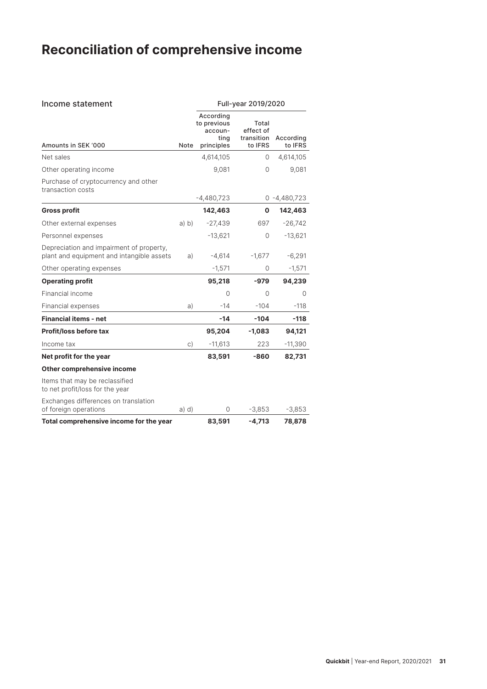## **Reconciliation of comprehensive income**

| Income statement                                                                      |           |                                                           | Full-year 2019/2020                         |                      |
|---------------------------------------------------------------------------------------|-----------|-----------------------------------------------------------|---------------------------------------------|----------------------|
| Amounts in SEK '000                                                                   | Note      | According<br>to previous<br>accoun-<br>ting<br>principles | Total<br>effect of<br>transition<br>to IFRS | According<br>to IFRS |
| Net sales                                                                             |           | 4,614,105                                                 | 0                                           | 4,614,105            |
| Other operating income                                                                |           | 9,081                                                     | $\Omega$                                    | 9,081                |
| Purchase of cryptocurrency and other<br>transaction costs                             |           | -4,480,723                                                | $\Omega$                                    | $-4,480,723$         |
| <b>Gross profit</b>                                                                   |           | 142,463                                                   | O                                           | 142,463              |
| Other external expenses                                                               | a) b)     | $-27,439$                                                 | 697                                         | $-26,742$            |
| Personnel expenses                                                                    |           | $-13,621$                                                 | 0                                           | $-13,621$            |
| Depreciation and impairment of property,<br>plant and equipment and intangible assets | a)        | $-4,614$                                                  | $-1,677$                                    | $-6,291$             |
| Other operating expenses                                                              |           | $-1,571$                                                  | 0                                           | $-1,571$             |
| <b>Operating profit</b>                                                               |           | 95,218                                                    | $-979$                                      | 94,239               |
| Financial income                                                                      |           | 0                                                         | 0                                           | 0                    |
| <b>Financial expenses</b>                                                             | a)        | $-14$                                                     | $-104$                                      | $-118$               |
| <b>Financial items - net</b>                                                          |           | $-14$                                                     | $-104$                                      | $-118$               |
| <b>Profit/loss before tax</b>                                                         |           | 95,204                                                    | $-1,083$                                    | 94,121               |
| Income tax                                                                            | $\circ$ ) | $-11,613$                                                 | 223                                         | $-11,390$            |
| Net profit for the year                                                               |           | 83,591                                                    | -860                                        | 82,731               |
| Other comprehensive income                                                            |           |                                                           |                                             |                      |
| Items that may be reclassified<br>to net profit/loss for the year                     |           |                                                           |                                             |                      |
| Exchanges differences on translation<br>of foreign operations                         | a) d)     | $\Omega$                                                  | $-3,853$                                    | $-3,853$             |
| Total comprehensive income for the year                                               |           | 83,591                                                    | $-4,713$                                    | 78,878               |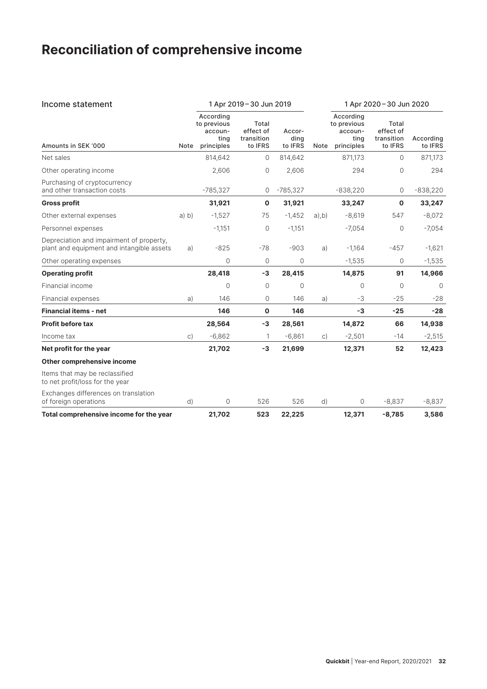## **Reconciliation of comprehensive income**

| Income statement                                                                      |           |                                                           | 1 Apr 2019 - 30 Jun 2019                    |                           |           |                                                           | 1 Apr 2020 - 30 Jun 2020                    |                      |
|---------------------------------------------------------------------------------------|-----------|-----------------------------------------------------------|---------------------------------------------|---------------------------|-----------|-----------------------------------------------------------|---------------------------------------------|----------------------|
| Amounts in SEK '000                                                                   | Note      | According<br>to previous<br>accoun-<br>ting<br>principles | Total<br>effect of<br>transition<br>to IFRS | Accor-<br>ding<br>to IFRS | Note      | According<br>to previous<br>accoun-<br>ting<br>principles | Total<br>effect of<br>transition<br>to IFRS | According<br>to IFRS |
| Net sales                                                                             |           | 814,642                                                   | $\circ$                                     | 814,642                   |           | 871,173                                                   | $\Omega$                                    | 871,173              |
| Other operating income                                                                |           | 2,606                                                     | $\circ$                                     | 2,606                     |           | 294                                                       | 0                                           | 294                  |
| Purchasing of cryptocurrency<br>and other transaction costs                           |           | $-785,327$                                                | $\circ$                                     | $-785,327$                |           | $-838,220$                                                | 0                                           | $-838,220$           |
| <b>Gross profit</b>                                                                   |           | 31,921                                                    | 0                                           | 31,921                    |           | 33,247                                                    | $\mathbf 0$                                 | 33,247               |
| Other external expenses                                                               | a) b)     | $-1,527$                                                  | 75                                          | $-1,452$                  | $a)$ , b) | $-8,619$                                                  | 547                                         | $-8,072$             |
| Personnel expenses                                                                    |           | $-1,151$                                                  | $\circ$                                     | $-1,151$                  |           | $-7,054$                                                  | 0                                           | $-7,054$             |
| Depreciation and impairment of property,<br>plant and equipment and intangible assets | a)        | $-825$                                                    | $-78$                                       | $-903$                    | a)        | $-1,164$                                                  | $-457$                                      | $-1,621$             |
| Other operating expenses                                                              |           | $\Omega$                                                  | $\circ$                                     | $\mathbf{0}$              |           | $-1,535$                                                  | 0                                           | $-1,535$             |
| <b>Operating profit</b>                                                               |           | 28,418                                                    | $-3$                                        | 28,415                    |           | 14,875                                                    | 91                                          | 14,966               |
| Financial income                                                                      |           | $\mathbf 0$                                               | $\circ$                                     | $\mathbf 0$               |           | $\Omega$                                                  | $\mathbf{0}$                                | $\Omega$             |
| Financial expenses                                                                    | a)        | 146                                                       | $\circ$                                     | 146                       | a)        | $-3$                                                      | $-25$                                       | $-28$                |
| <b>Financial items - net</b>                                                          |           | 146                                                       | $\mathbf{o}$                                | 146                       |           | $-3$                                                      | $-25$                                       | $-28$                |
| <b>Profit before tax</b>                                                              |           | 28,564                                                    | $-3$                                        | 28,561                    |           | 14,872                                                    | 66                                          | 14,938               |
| Income tax                                                                            | $\circ$ ) | $-6,862$                                                  | 1                                           | $-6,861$                  | C)        | $-2,501$                                                  | $-14$                                       | $-2,515$             |
| Net profit for the year                                                               |           | 21,702                                                    | $-3$                                        | 21,699                    |           | 12,371                                                    | 52                                          | 12,423               |
| Other comprehensive income                                                            |           |                                                           |                                             |                           |           |                                                           |                                             |                      |
| Items that may be reclassified<br>to net profit/loss for the year                     |           |                                                           |                                             |                           |           |                                                           |                                             |                      |
| Exchanges differences on translation<br>of foreign operations                         | d)        | $\mathbf 0$                                               | 526                                         | 526                       | d)        | $\circ$                                                   | $-8,837$                                    | $-8,837$             |
| Total comprehensive income for the year                                               |           | 21,702                                                    | 523                                         | 22,225                    |           | 12,371                                                    | $-8,785$                                    | 3,586                |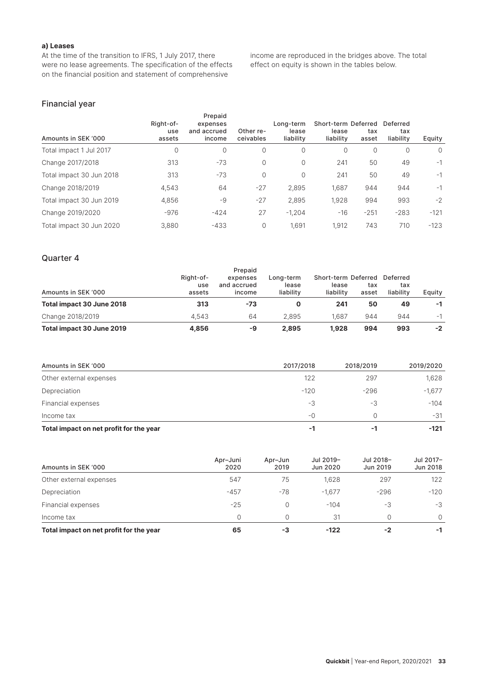#### **a) Leases**

At the time of the transition to IFRS, 1 July 2017, there were no lease agreements. The specification of the effects on the financial position and statement of comprehensive

income are reproduced in the bridges above. The total effect on equity is shown in the tables below.

#### Financial year

| Amounts in SEK '000      | Right-of-<br>use<br>assets | Prepaid<br>expenses<br>and accrued<br>income | Other re-<br>ceivables | Long-term<br>lease<br>liability | Short-term Deferred<br>lease<br>liability | tax<br>asset | Deferred<br>tax<br>liability | Equity       |
|--------------------------|----------------------------|----------------------------------------------|------------------------|---------------------------------|-------------------------------------------|--------------|------------------------------|--------------|
| Total impact 1 Jul 2017  | 0                          | 0                                            | $\mathbf 0$            | 0                               | $\circ$                                   | $\mathbf{0}$ | 0                            | $\mathbf{0}$ |
| Change 2017/2018         | 313                        | $-73$                                        | $\mathbf 0$            | 0                               | 241                                       | 50           | 49                           | $-1$         |
| Total impact 30 Jun 2018 | 313                        | $-73$                                        | $\Omega$               | 0                               | 241                                       | 50           | 49                           | $-1$         |
| Change 2018/2019         | 4,543                      | 64                                           | $-27$                  | 2,895                           | 1,687                                     | 944          | 944                          | $-1$         |
| Total impact 30 Jun 2019 | 4,856                      | -9                                           | $-27$                  | 2,895                           | 1,928                                     | 994          | 993                          | $-2$         |
| Change 2019/2020         | $-976$                     | $-424$                                       | 27                     | $-1,204$                        | $-16$                                     | $-251$       | $-283$                       | $-121$       |
| Total impact 30 Jun 2020 | 3,880                      | $-433$                                       | $\mathbf 0$            | 1,691                           | 1,912                                     | 743          | 710                          | $-123$       |

#### Quarter 4

| Amounts in SEK '000                     | 2017/2018 | 2018/2019 | 2019/2020 |
|-----------------------------------------|-----------|-----------|-----------|
| Other external expenses                 | 122       | 297       | 1,628     |
| Depreciation                            | $-120$    | $-296$    | $-1,677$  |
| Financial expenses                      | -3        | -3        | $-104$    |
| Income tax                              | $-0$      |           | $-31$     |
| Total impact on net profit for the year | -1        | -1        | $-121$    |

| Amounts in SEK '000                     | Apr-Juni<br>2020 | Apr-Jun<br>2019 | Jul 2019-<br>Jun 2020 | Jul 2018-<br>Jun 2019 | Jul 2017-<br>Jun 2018 |
|-----------------------------------------|------------------|-----------------|-----------------------|-----------------------|-----------------------|
| Other external expenses                 | 547              | 75              | 1.628                 | 297                   | 122                   |
| Depreciation                            | $-457$           | $-78$           | $-1.677$              | $-296$                | $-120$                |
| Financial expenses                      | $-25$            |                 | $-104$                | -3                    | -3                    |
| Income tax                              |                  |                 | 31                    |                       | $\Omega$              |
| Total impact on net profit for the year | 65               | -3              | $-122$                | $-2$                  | -1                    |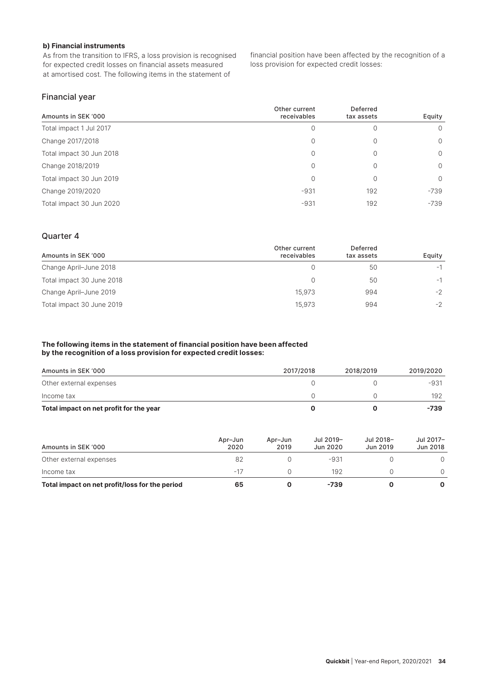#### **b) Financial instruments**

As from the transition to IFRS, a loss provision is recognised for expected credit losses on financial assets measured at amortised cost. The following items in the statement of

financial position have been affected by the recognition of a loss provision for expected credit losses:

#### Financial year

|                          | Other current | Deferred   |          |
|--------------------------|---------------|------------|----------|
| Amounts in SEK '000      | receivables   | tax assets | Equity   |
| Total impact 1 Jul 2017  | 0             | 0          | $\circ$  |
| Change 2017/2018         | 0             | $\Omega$   | $\circ$  |
| Total impact 30 Jun 2018 | 0             |            | $\circ$  |
| Change 2018/2019         | 0             | $\Omega$   | $\Omega$ |
| Total impact 30 Jun 2019 | 0             |            | $\Omega$ |
| Change 2019/2020         | $-931$        | 192        | $-739$   |
| Total impact 30 Jun 2020 | $-931$        | 192        | $-739$   |

#### Quarter 4

| Amounts in SEK '000       | Other current<br>receivables | Deferred<br>tax assets | Equity |
|---------------------------|------------------------------|------------------------|--------|
| Change April-June 2018    | Ο                            | 50                     | $-1$   |
|                           |                              |                        |        |
| Total impact 30 June 2018 | $\Omega$                     | 50                     | $-1$   |
| Change April-June 2019    | 15.973                       | 994                    | $-2$   |
| Total impact 30 June 2019 | 15.973                       | 994                    | $-2$   |

#### **The following items in the statement of financial position have been affected by the recognition of a loss provision for expected credit losses:**

| Amounts in SEK '000                     | 2017/2018 | 2018/2019 | 2019/2020 |
|-----------------------------------------|-----------|-----------|-----------|
| Other external expenses                 |           |           | -931      |
| Income tax                              |           |           | 192       |
| Total impact on net profit for the year |           |           | -739      |

| Amounts in SEK '000                            | Apr-Jun<br>2020 | Apr-Jun<br>2019 | Jul 2019-<br>Jun 2020 | Jul 2018-<br>Jun 2019 | Jul 2017-<br>Jun 2018 |
|------------------------------------------------|-----------------|-----------------|-----------------------|-----------------------|-----------------------|
| Other external expenses                        | 82              |                 | $-931$                |                       |                       |
| Income tax                                     | $-17$           |                 | 192                   |                       |                       |
| Total impact on net profit/loss for the period | 65              |                 | -739                  |                       |                       |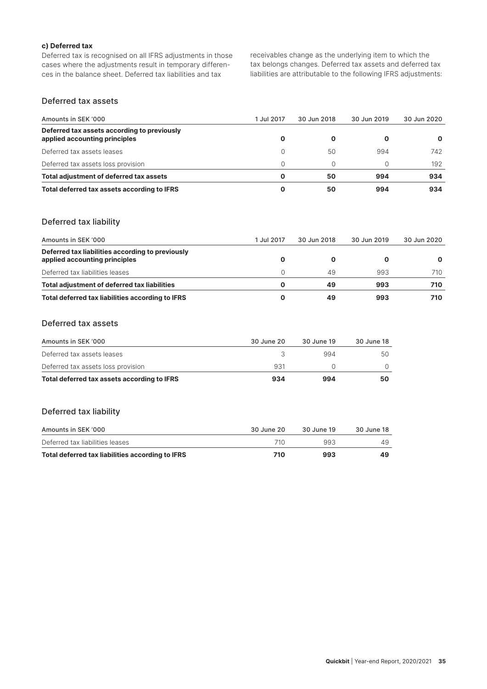#### **c) Deferred tax**

Deferred tax is recognised on all IFRS adjustments in those cases where the adjustments result in temporary differences in the balance sheet. Deferred tax liabilities and tax

receivables change as the underlying item to which the tax belongs changes. Deferred tax assets and deferred tax liabilities are attributable to the following IFRS adjustments:

#### Deferred tax assets

| Amounts in SEK '000                                                               | 1 Jul 2017  | 30 Jun 2018 | 30 Jun 2019 | 30 Jun 2020 |
|-----------------------------------------------------------------------------------|-------------|-------------|-------------|-------------|
| Deferred tax assets according to previously<br>applied accounting principles      | O           | 0           | 0           | 0           |
| Deferred tax assets leases                                                        | $\Omega$    | 50          | 994         | 742         |
| Deferred tax assets loss provision                                                | $\Omega$    | 0           | 0           | 192         |
| <b>Total adjustment of deferred tax assets</b>                                    | 0           | 50          | 994         | 934         |
| Total deferred tax assets according to IFRS                                       | $\mathbf 0$ | 50          | 994         | 934         |
| Deferred tax liability                                                            |             |             |             |             |
| Amounts in SEK '000                                                               | 1 Jul 2017  | 30 Jun 2018 | 30 Jun 2019 | 30 Jun 2020 |
| Deferred tax liabilities according to previously<br>applied accounting principles | $\mathbf 0$ | 0           | O           | 0           |
| Deferred tax liabilities leases                                                   | $\Omega$    | 49          | 993         | 710         |
| Total adjustment of deferred tax liabilities                                      | O           | 49          | 993         | 710         |
| Total deferred tax liabilities according to IFRS                                  | $\mathbf 0$ | 49          | 993         | 710         |
| Deferred tax assets                                                               |             |             |             |             |
| Amounts in SEK '000                                                               | 30 June 20  | 30 June 19  | 30 June 18  |             |
| Deferred tax assets leases                                                        | 3           | 994         | 50          |             |
| Deferred tax assets loss provision                                                | 931         | $\Omega$    | $\Omega$    |             |
| Total deferred tax assets according to IFRS                                       | 934         | 994         | 50          |             |
| Deferred tax liability                                                            |             |             |             |             |
| Amounts in SEK '000                                                               | 30 June 20  | 30 June 19  | 30 June 18  |             |
| Deferred tax liabilities leases                                                   | 710         | 993         | 49          |             |
| Total deferred tax liabilities according to IFRS                                  | 710         | 993         | 49          |             |
|                                                                                   |             |             |             |             |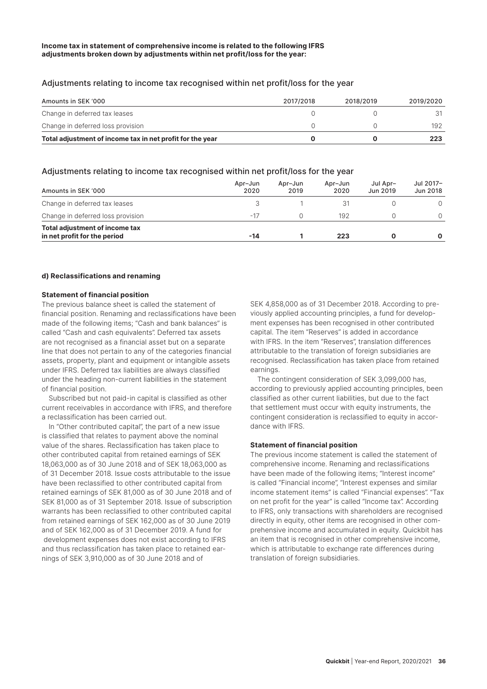#### **Income tax in statement of comprehensive income is related to the following IFRS adjustments broken down by adjustments within net profit/loss for the year:**

#### Adjustments relating to income tax recognised within net profit/loss for the year

| Amounts in SEK '000                                       | 2017/2018 | 2018/2019 | 2019/2020 |
|-----------------------------------------------------------|-----------|-----------|-----------|
| Change in deferred tax leases                             |           |           |           |
| Change in deferred loss provision                         |           |           | 192       |
| Total adjustment of income tax in net profit for the year |           |           | 223       |

#### Adjustments relating to income tax recognised within net profit/loss for the year

| Amounts in SEK '000                                            | Apr-Jun<br>2020 | Apr-Jun<br>2019 | Apr-Jun<br>2020 | Jul Apr-<br>Jun 2019 | Jul 2017-<br>Jun 2018 |
|----------------------------------------------------------------|-----------------|-----------------|-----------------|----------------------|-----------------------|
| Change in deferred tax leases                                  |                 |                 | 31              |                      |                       |
| Change in deferred loss provision                              | $-17$           |                 | 192             |                      |                       |
| Total adjustment of income tax<br>in net profit for the period | $-14$           |                 | 223             |                      |                       |

#### **d) Reclassifications and renaming**

#### **Statement of financial position**

The previous balance sheet is called the statement of financial position. Renaming and reclassifications have been made of the following items; "Cash and bank balances" is called "Cash and cash equivalents". Deferred tax assets are not recognised as a financial asset but on a separate line that does not pertain to any of the categories financial assets, property, plant and equipment or intangible assets under IFRS. Deferred tax liabilities are always classified under the heading non-current liabilities in the statement of financial position.

Subscribed but not paid-in capital is classified as other current receivables in accordance with IFRS, and therefore a reclassification has been carried out.

In "Other contributed capital", the part of a new issue is classified that relates to payment above the nominal value of the shares. Reclassification has taken place to other contributed capital from retained earnings of SEK 18,063,000 as of 30 June 2018 and of SEK 18,063,000 as of 31 December 2018. Issue costs attributable to the issue have been reclassified to other contributed capital from retained earnings of SEK 81,000 as of 30 June 2018 and of SEK 81,000 as of 31 September 2018. Issue of subscription warrants has been reclassified to other contributed capital from retained earnings of SEK 162,000 as of 30 June 2019 and of SEK 162,000 as of 31 December 2019. A fund for development expenses does not exist according to IFRS and thus reclassification has taken place to retained earnings of SEK 3,910,000 as of 30 June 2018 and of

SEK 4,858,000 as of 31 December 2018. According to previously applied accounting principles, a fund for development expenses has been recognised in other contributed capital. The item "Reserves" is added in accordance with IFRS. In the item "Reserves", translation differences attributable to the translation of foreign subsidiaries are recognised. Reclassification has taken place from retained earnings.

The contingent consideration of SEK 3,099,000 has, according to previously applied accounting principles, been classified as other current liabilities, but due to the fact that settlement must occur with equity instruments, the contingent consideration is reclassified to equity in accordance with IFRS.

#### **Statement of financial position**

The previous income statement is called the statement of comprehensive income. Renaming and reclassifications have been made of the following items; "Interest income" is called "Financial income", "Interest expenses and similar income statement items" is called "Financial expenses". "Tax on net profit for the year" is called "Income tax". According to IFRS, only transactions with shareholders are recognised directly in equity, other items are recognised in other comprehensive income and accumulated in equity. Quickbit has an item that is recognised in other comprehensive income, which is attributable to exchange rate differences during translation of foreign subsidiaries.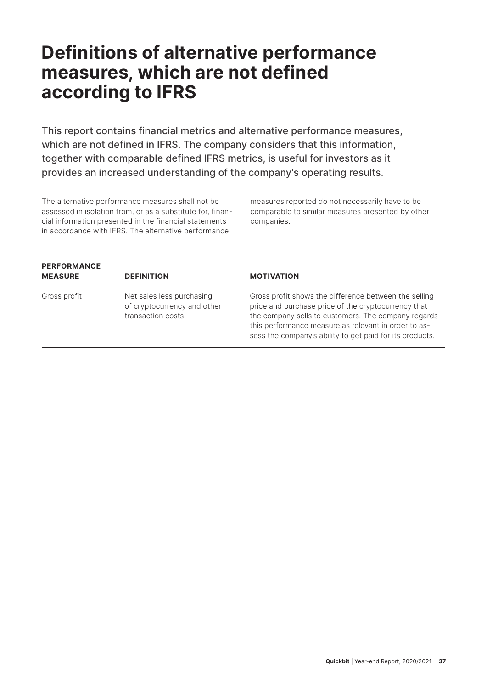## **Definitions of alternative performance measures, which are not defined according to IFRS**

This report contains financial metrics and alternative performance measures, which are not defined in IFRS. The company considers that this information, together with comparable defined IFRS metrics, is useful for investors as it provides an increased understanding of the company's operating results.

The alternative performance measures shall not be assessed in isolation from, or as a substitute for, financial information presented in the financial statements in accordance with IFRS. The alternative performance

measures reported do not necessarily have to be comparable to similar measures presented by other companies.

| <b>PERFORMANCE</b><br><b>MEASURE</b> | <b>DEFINITION</b>                                                              | <b>MOTIVATION</b>                                                                                                                                                                                                                                                                       |
|--------------------------------------|--------------------------------------------------------------------------------|-----------------------------------------------------------------------------------------------------------------------------------------------------------------------------------------------------------------------------------------------------------------------------------------|
| Gross profit                         | Net sales less purchasing<br>of cryptocurrency and other<br>transaction costs. | Gross profit shows the difference between the selling<br>price and purchase price of the cryptocurrency that<br>the company sells to customers. The company regards<br>this performance measure as relevant in order to as-<br>sess the company's ability to get paid for its products. |